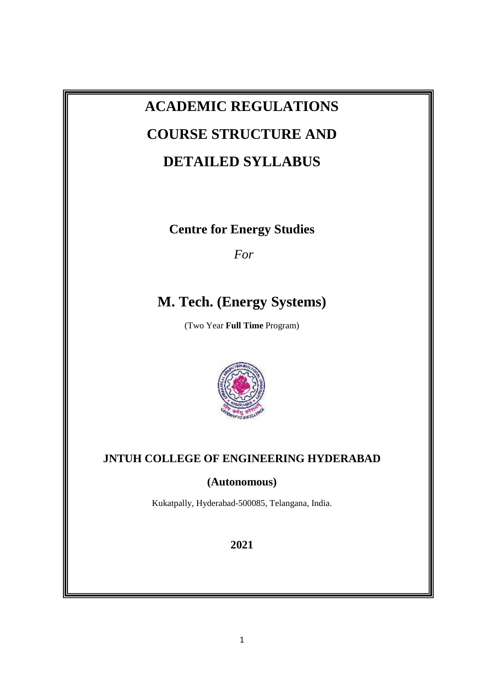# **ACADEMIC REGULATIONS COURSE STRUCTURE AND DETAILED SYLLABUS**

**Centre for Energy Studies**

*For*

# **M. Tech. (Energy Systems)**

(Two Year **Full Time** Program)



# **JNTUH COLLEGE OF ENGINEERING HYDERABAD**

# **(Autonomous)**

Kukatpally, Hyderabad-500085, Telangana, India.

**2021**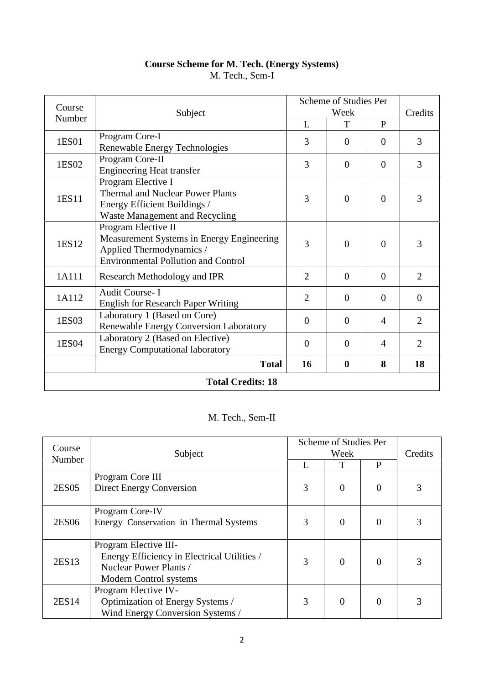# **Course Scheme for M. Tech. (Energy Systems)** M. Tech., Sem-I

| Course<br>Subject        |                                                                                                                                            | Scheme of Studies Per<br>Week |                  |                | Credits        |
|--------------------------|--------------------------------------------------------------------------------------------------------------------------------------------|-------------------------------|------------------|----------------|----------------|
| Number                   |                                                                                                                                            |                               | T                | $\mathbf{P}$   |                |
| 1ES01                    | Program Core-I<br>Renewable Energy Technologies                                                                                            | 3                             | $\Omega$         | $\theta$       | 3              |
| 1ES02                    | Program Core-II<br><b>Engineering Heat transfer</b>                                                                                        | 3                             | $\overline{0}$   | $\overline{0}$ | $\overline{3}$ |
| 1ES11                    | Program Elective I<br><b>Thermal and Nuclear Power Plants</b><br>Energy Efficient Buildings /<br>Waste Management and Recycling            | 3                             | $\overline{0}$   | $\Omega$       | 3              |
| 1ES12                    | Program Elective II<br>Measurement Systems in Energy Engineering<br>Applied Thermodynamics /<br><b>Environmental Pollution and Control</b> | 3                             | $\overline{0}$   | $\overline{0}$ | 3              |
| 1A111                    | Research Methodology and IPR                                                                                                               | $\overline{2}$                | $\overline{0}$   | $\overline{0}$ | $\overline{2}$ |
| 1A112                    | <b>Audit Course-I</b><br><b>English for Research Paper Writing</b>                                                                         | $\overline{2}$                | $\theta$         | $\theta$       | $\overline{0}$ |
| 1ES03                    | Laboratory 1 (Based on Core)<br>Renewable Energy Conversion Laboratory                                                                     | $\overline{0}$                | $\overline{0}$   | $\overline{4}$ | $\overline{2}$ |
| 1ES04                    | Laboratory 2 (Based on Elective)<br><b>Energy Computational laboratory</b>                                                                 | $\overline{0}$                | $\overline{0}$   | $\overline{4}$ | $\overline{2}$ |
|                          | <b>Total</b>                                                                                                                               | 16                            | $\boldsymbol{0}$ | 8              | 18             |
| <b>Total Credits: 18</b> |                                                                                                                                            |                               |                  |                |                |

# M. Tech., Sem-II

| Course |                                             |   | Scheme of Studies Per |                |   |
|--------|---------------------------------------------|---|-----------------------|----------------|---|
| Number | Subject                                     |   | Week                  |                |   |
|        |                                             |   | T                     | $\mathbf{P}$   |   |
|        | Program Core III                            |   |                       |                |   |
| 2ES05  | Direct Energy Conversion                    | 3 | $\theta$              | $\theta$       | 3 |
|        |                                             |   |                       |                |   |
|        | Program Core-IV                             |   |                       |                |   |
| 2ES06  | Energy Conservation in Thermal Systems      | 3 | $\theta$              | $\theta$       | 3 |
|        |                                             |   |                       |                |   |
|        | Program Elective III-                       |   |                       |                |   |
| 2ES13  | Energy Efficiency in Electrical Utilities / | 3 | $\overline{0}$        | $\overline{0}$ | 3 |
|        | Nuclear Power Plants /                      |   |                       |                |   |
|        | Modern Control systems                      |   |                       |                |   |
|        | Program Elective IV-                        |   |                       |                |   |
| 2ES14  | Optimization of Energy Systems /            | 3 | $\theta$              | $\overline{0}$ | 3 |
|        | Wind Energy Conversion Systems /            |   |                       |                |   |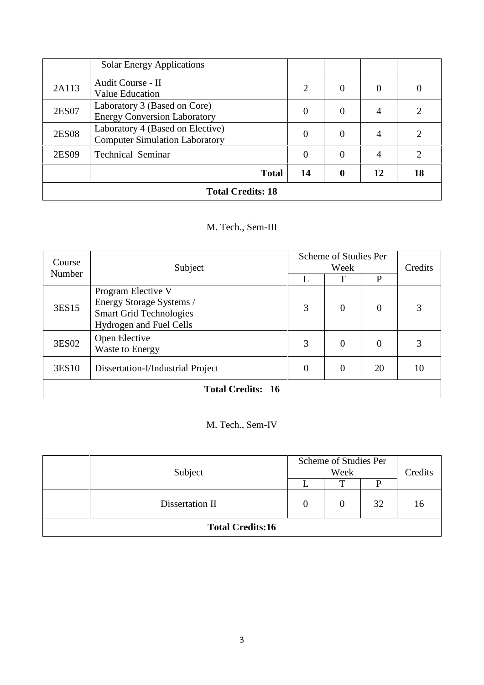| <b>Total Credits: 18</b> |                                                                           |          |             |                |                             |
|--------------------------|---------------------------------------------------------------------------|----------|-------------|----------------|-----------------------------|
|                          | <b>Total</b>                                                              | 14       | $\mathbf 0$ | 12             | 18                          |
| 2ES09                    | <b>Technical Seminar</b>                                                  | $\Omega$ | $\Omega$    | 4              | $\mathcal{D}_{\mathcal{L}}$ |
| <b>2ES08</b>             | Laboratory 4 (Based on Elective)<br><b>Computer Simulation Laboratory</b> | 0        | $\Omega$    | $\overline{4}$ | $\mathcal{D}_{\mathcal{L}}$ |
| 2ES07                    | Laboratory 3 (Based on Core)<br><b>Energy Conversion Laboratory</b>       | 0        |             | 4              | $\mathcal{D}_{\mathcal{A}}$ |
| 2A113                    | Audit Course - II<br>Value Education                                      | 2        | $\theta$    | $\Omega$       | 0                           |
|                          | <b>Solar Energy Applications</b>                                          |          |             |                |                             |

# M. Tech., Sem-III

| Course<br>Subject                                                                    |                                                                                                             | Scheme of Studies Per<br>Week |          |                | Credits |
|--------------------------------------------------------------------------------------|-------------------------------------------------------------------------------------------------------------|-------------------------------|----------|----------------|---------|
| Number                                                                               |                                                                                                             |                               | Т        | P              |         |
| 3ES15                                                                                | Program Elective V<br>Energy Storage Systems /<br><b>Smart Grid Technologies</b><br>Hydrogen and Fuel Cells | 3                             | $\theta$ | $\overline{0}$ | 3       |
| 3ES02                                                                                | Open Elective<br>Waste to Energy                                                                            | 3                             | $\theta$ | 0              | 3       |
| 3ES10<br>$\overline{0}$<br>$\theta$<br>20<br>Dissertation-I/Industrial Project<br>10 |                                                                                                             |                               |          |                |         |
|                                                                                      | <b>Total Credits: 16</b>                                                                                    |                               |          |                |         |

# M. Tech., Sem-IV

| Subject                 |  | Scheme of Studies Per<br>Week |    |    |  |
|-------------------------|--|-------------------------------|----|----|--|
|                         |  | ௱                             | D  |    |  |
| Dissertation II         |  | $\theta$                      | 32 | 16 |  |
| <b>Total Credits:16</b> |  |                               |    |    |  |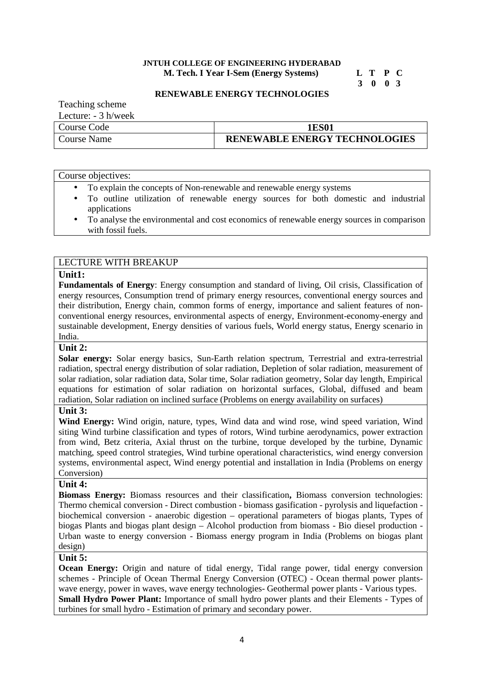#### **JNTUH COLLEGE OF ENGINEERING HYDERABAD M. Tech. I Year I-Sem (Energy Systems) L T P C**

# **3 0 0 3**

#### **RENEWABLE ENERGY TECHNOLOGIES**

Teaching scheme

Lecture: - 3 h/week

| Course Code | 1ES01                                |
|-------------|--------------------------------------|
| Course Name | <b>RENEWABLE ENERGY TECHNOLOGIES</b> |

#### Course objectives:

- To explain the concepts of Non-renewable and renewable energy systems
- To outline utilization of renewable energy sources for both domestic and industrial applications
- To analyse the environmental and cost economics of renewable energy sources in comparison with fossil fuels.

### LECTURE WITH BREAKUP

#### **Unit1:**

**Fundamentals of Energy**: Energy consumption and standard of living, Oil crisis, Classification of energy resources, Consumption trend of primary energy resources, conventional energy sources and their distribution, Energy chain, common forms of energy, importance and salient features of non conventional energy resources, environmental aspects of energy, Environment-economy-energy and sustainable development, Energy densities of various fuels, World energy status, Energy scenario in India.

#### **Unit 2:**

**Solar energy:** Solar energy basics, Sun-Earth relation spectrum, Terrestrial and extra-terrestrial radiation, spectral energy distribution of solar radiation, Depletion of solar radiation, measurement of solar radiation, solar radiation data, Solar time, Solar radiation geometry, Solar day length, Empirical equations for estimation of solar radiation on horizontal surfaces, Global, diffused and beam radiation, Solar radiation on inclined surface (Problems on energy availability on surfaces)

#### **Unit 3:**

**Wind Energy:** Wind origin, nature, types, Wind data and wind rose, wind speed variation, Wind siting Wind turbine classification and types of rotors, Wind turbine aerodynamics, power extraction from wind, Betz criteria, Axial thrust on the turbine, torque developed by the turbine, Dynamic matching, speed control strategies, Wind turbine operational characteristics, wind energy conversion systems, environmental aspect, Wind energy potential and installation in India (Problems on energy Conversion)

#### **Unit 4:**

**Biomass Energy:** Biomass resources and their classification**,** Biomass conversion technologies: Thermo chemical conversion - Direct combustion - biomass gasification - pyrolysis and liquefaction biochemical conversion - anaerobic digestion – operational parameters of biogas plants, Types of biogas Plants and biogas plant design – Alcohol production from biomass - Bio diesel production - Urban waste to energy conversion - Biomass energy program in India (Problems on biogas plant design)

#### **Unit 5:**

**Ocean Energy:** Origin and nature of tidal energy, Tidal range power, tidal energy conversion schemes - Principle of Ocean Thermal Energy Conversion (OTEC) - Ocean thermal power plants wave energy, power in waves, wave energy technologies- Geothermal power plants - Various types. **Small Hydro Power Plant:** Importance of small hydro power plants and their Elements - Types of turbines for small hydro - Estimation of primary and secondary power.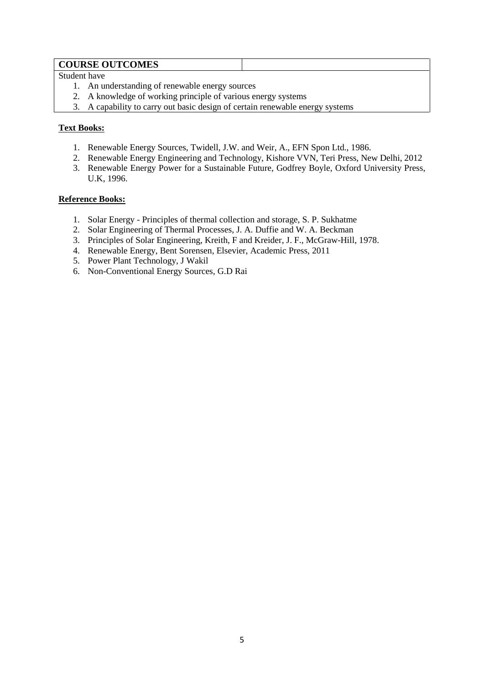# **COURSE OUTCOMES**

Student have

- 1. An understanding of renewable energy sources
- 2. A knowledge of working principle of various energy systems
- 3. A capability to carry out basic design of certain renewable energy systems

# **Text Books:**

- 1. Renewable Energy Sources, Twidell, J.W. and Weir, A., EFN Spon Ltd., 1986.
- 2. Renewable Energy Engineering and Technology, Kishore VVN, Teri Press, New Delhi, 2012
- 3. Renewable Energy Power for a Sustainable Future, Godfrey Boyle, Oxford University Press, U.K, 1996.

- 1. Solar Energy Principles of thermal collection and storage, S. P. Sukhatme
- 2. Solar Engineering of Thermal Processes, J. A. Duffie and W. A. Beckman
- 3. Principles of Solar Engineering, Kreith, F and Kreider, J. F., McGraw-Hill, 1978.
- 4. Renewable Energy, Bent Sorensen, Elsevier, Academic Press, 2011
- 5. Power Plant Technology, J Wakil
- 6. Non-Conventional Energy Sources, G.D Rai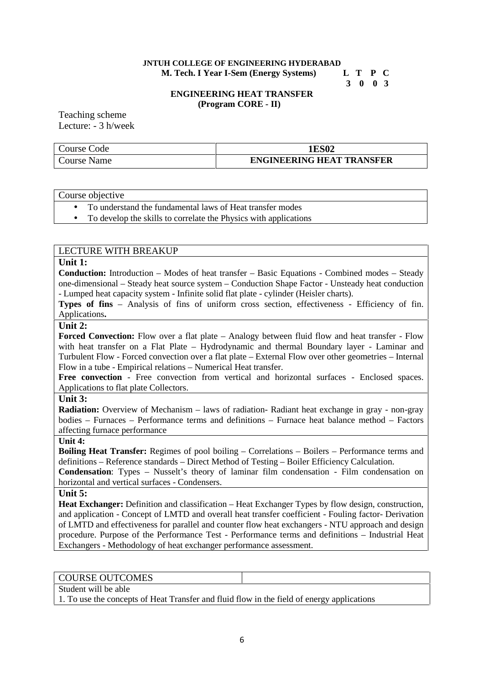#### **JNTUH COLLEGE OF ENGINEERING HYDERABAD M. Tech. I Year I-Sem (Energy Systems) L T P C**

**3 0 0 3**

#### **ENGINEERING HEAT TRANSFER (Program CORE - II)**

Teaching scheme Lecture: - 3 h/week

| Code<br>Course C | <b>IES02</b>                     |
|------------------|----------------------------------|
| Course Name      | <b>ENGINEERING HEAT TRANSFER</b> |

#### Course objective

- To understand the fundamental laws of Heat transfer modes
- To develop the skills to correlate the Physics with applications

# LECTURE WITH BREAKUP

#### **Unit 1:**

**Conduction:** Introduction – Modes of heat transfer – Basic Equations - Combined modes – Steady one-dimensional – Steady heat source system – Conduction Shape Factor - Unsteady heat conduction - Lumped heat capacity system - Infinite solid flat plate - cylinder (Heisler charts).

**Types of fins** – Analysis of fins of uniform cross section, effectiveness - Efficiency of fin. Applications**.**

#### **Unit 2:**

**Forced Convection:** Flow over a flat plate – Analogy between fluid flow and heat transfer - Flow with heat transfer on a Flat Plate – Hydrodynamic and thermal Boundary layer - Laminar and Turbulent Flow - Forced convection over a flat plate – External Flow over other geometries – Internal Flow in a tube - Empirical relations – Numerical Heat transfer.

**Free convection** - Free convection from vertical and horizontal surfaces - Enclosed spaces. Applications to flat plate Collectors.

# **Unit 3:**

**Radiation:** Overview of Mechanism – laws of radiation- Radiant heat exchange in gray - non-gray bodies – Furnaces – Performance terms and definitions – Furnace heat balance method – Factors affecting furnace performance

#### **Unit 4:**

**Boiling Heat Transfer:** Regimes of pool boiling – Correlations – Boilers – Performance terms and definitions – Reference standards – Direct Method of Testing – Boiler Efficiency Calculation.

**Condensation**: Types – Nusselt's theory of laminar film condensation - Film condensation on horizontal and vertical surfaces - Condensers.

#### **Unit 5:**

**Heat Exchanger:** Definition and classification – Heat Exchanger Types by flow design, construction, and application - Concept of LMTD and overall heat transfer coefficient - Fouling factor- Derivation of LMTD and effectiveness for parallel and counter flow heat exchangers - NTU approach and design procedure. Purpose of the Performance Test - Performance terms and definitions – Industrial Heat Exchangers - Methodology of heat exchanger performance assessment.

# COURSE OUTCOMES

Student will be able

1. To use the concepts of Heat Transfer and fluid flow in the field of energy applications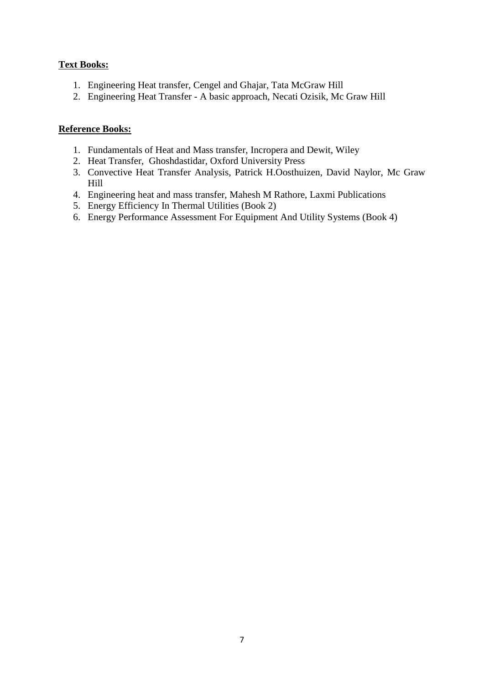# **Text Books:**

- 1. Engineering Heat transfer, Cengel and Ghajar, Tata McGraw Hill
- 2. Engineering Heat Transfer A basic approach, Necati Ozisik, Mc Graw Hill

- 1. Fundamentals of Heat and Mass transfer, Incropera and Dewit, Wiley
- 2. Heat Transfer, Ghoshdastidar, Oxford University Press
- 3. Convective Heat Transfer Analysis, Patrick H.Oosthuizen, David Naylor, Mc Graw Hill
- 4. Engineering heat and mass transfer, Mahesh M Rathore, Laxmi Publications
- 5. Energy Efficiency In Thermal Utilities (Book 2)
- 6. Energy Performance Assessment For Equipment And Utility Systems (Book 4)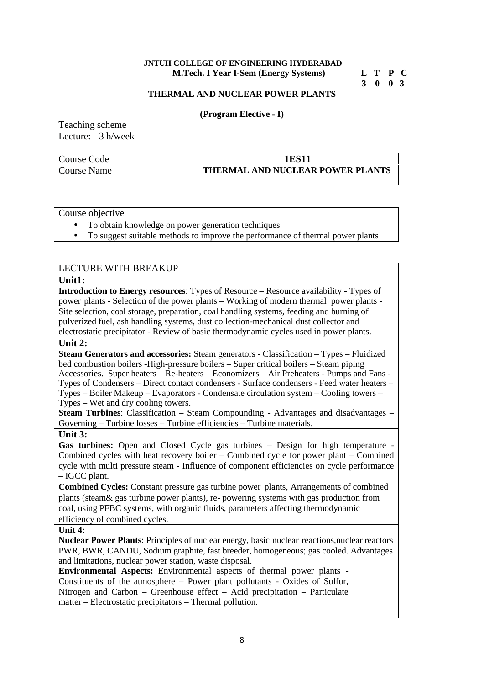#### **JNTUH COLLEGE OF ENGINEERING HYDERABAD M.Tech. I Year I-Sem (Energy Systems) L T P C**

**3 0 0 3**

#### **THERMAL AND NUCLEAR POWER PLANTS**

#### **(Program Elective - I)**

Teaching scheme Lecture: - 3 h/week

| Course Code | 1ES11                            |
|-------------|----------------------------------|
| Course Name | THERMAL AND NUCLEAR POWER PLANTS |

#### Course objective

• To obtain knowledge on power generation techniques

To suggest suitable methods to improve the performance of thermal power plants

# LECTURE WITH BREAKUP **Unit1: Introduction to Energy resources**: Types of Resource – Resource availability - Types of power plants - Selection of the power plants – Working of modern thermal power plants - Site selection, coal storage, preparation, coal handling systems, feeding and burning of pulverized fuel, ash handling systems, dust collection-mechanical dust collector and electrostatic precipitator - Review of basic thermodynamic cycles used in power plants. **Unit 2: Steam Generators and accessories:** Steam generators - Classification – Types – Fluidized bed combustion boilers -High-pressure boilers – Super critical boilers – Steam piping Accessories. Super heaters – Re-heaters – Economizers – Air Preheaters - Pumps and Fans - Types of Condensers – Direct contact condensers - Surface condensers - Feed water heaters – Types – Boiler Makeup – Evaporators - Condensate circulation system – Cooling towers – Types – Wet and dry cooling towers. **Steam Turbines:** Classification – Steam Compounding - Advantages and disadvantages – Governing – Turbine losses – Turbine efficiencies – Turbine materials. **Unit 3:** Gas turbines: Open and Closed Cycle gas turbines – Design for high temperature Combined cycles with heat recovery boiler – Combined cycle for power plant – Combined cycle with multi pressure steam - Influence of component efficiencies on cycle performance – IGCC plant. **Combined Cycles:** Constant pressure gas turbine power plants, Arrangements of combined plants (steam& gas turbine power plants), re- powering systems with gas production from coal, using PFBC systems, with organic fluids, parameters affecting thermodynamic efficiency of combined cycles. **Unit 4: Nuclear Power Plants**: Principles of nuclear energy, basic nuclear reactions,nuclear reactors PWR, BWR, CANDU, Sodium graphite, fast breeder, homogeneous; gas cooled. Advantages and limitations, nuclear power station, waste disposal. **Environmental Aspects:** Environmental aspects of thermal power plants - Constituents of the atmosphere – Power plant pollutants - Oxides of Sulfur, Nitrogen and Carbon – Greenhouse effect – Acid precipitation – Particulate matter – Electrostatic precipitators – Thermal pollution.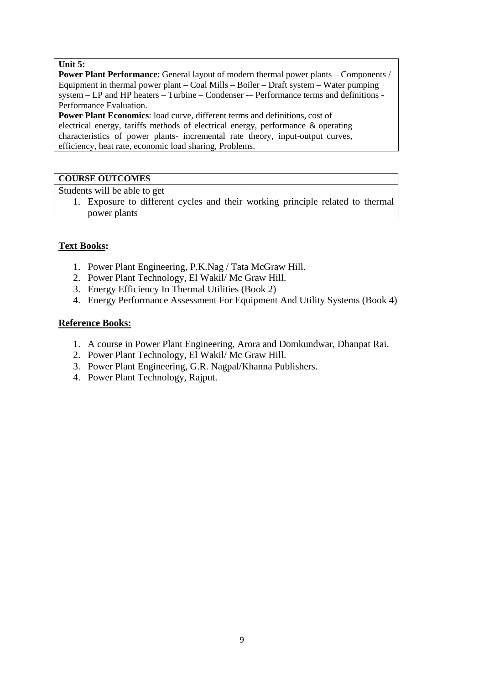### **Unit 5:**

**Power Plant Performance**: General layout of modern thermal power plants – Components / Equipment in thermal power plant – Coal Mills – Boiler – Draft system – Water pumping system – LP and HP heaters – Turbine – Condenser -– Performance terms and definitions - Performance Evaluation.

**Power Plant Economics**: load curve, different terms and definitions, cost of electrical energy, tariffs methods of electrical energy, performance & operating characteristics of power plants- incremental rate theory, input-output curves, efficiency, heat rate, economic load sharing, Problems.

# **COURSE OUTCOMES**

Students will be able to get

1. Exposure to different cycles and their working principle related to thermal power plants

# **Text Books:**

- 1. Power Plant Engineering, P.K.Nag / Tata McGraw Hill.
- 2. Power Plant Technology, El Wakil/ Mc Graw Hill.
- 3. Energy Efficiency In Thermal Utilities (Book 2)
- 4. Energy Performance Assessment For Equipment And Utility Systems (Book 4)

- 1. A course in Power Plant Engineering, Arora and Domkundwar, Dhanpat Rai.
- 2. Power Plant Technology, El Wakil/ Mc Graw Hill.
- 3. Power Plant Engineering, G.R. Nagpal/Khanna Publishers.
- 4. Power Plant Technology, Rajput.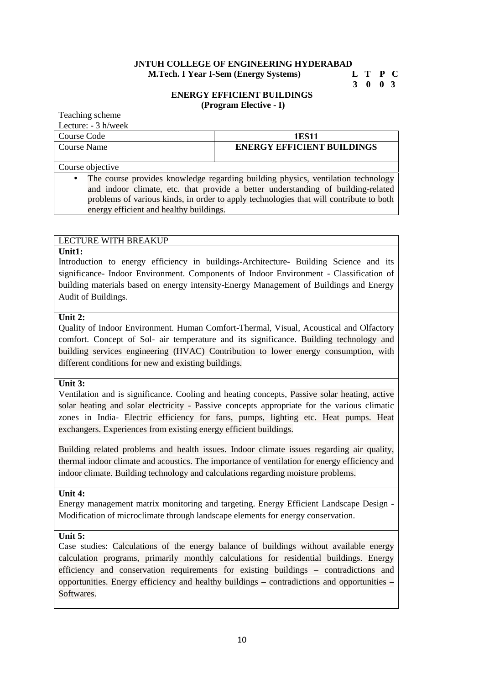#### **JNTUH COLLEGE OF ENGINEERING HYDERABAD M.Tech. I Year I-Sem (Energy Systems) L T P C**

# **3 0 0 3**

#### **ENERGY EFFICIENT BUILDINGS (Program Elective - I)**

Teaching scheme Lecture: - 3 h/week

| $L_{\rm U}$ . $L_{\rm U}$ . $L_{\rm U}$ is the vector<br>Course Code                   | 1ES11                                                                            |  |
|----------------------------------------------------------------------------------------|----------------------------------------------------------------------------------|--|
| Course Name                                                                            | <b>ENERGY EFFICIENT BUILDINGS</b>                                                |  |
|                                                                                        |                                                                                  |  |
| Course objective                                                                       |                                                                                  |  |
| $\bullet$                                                                              | The course provides knowledge regarding building physics, ventilation technology |  |
|                                                                                        | and indoor climate, etc. that provide a better understanding of building-related |  |
| problems of various kinds, in order to apply technologies that will contribute to both |                                                                                  |  |
| energy efficient and healthy buildings.                                                |                                                                                  |  |

# LECTURE WITH BREAKUP

#### **Unit1:**

Introduction to energy efficiency in buildings-Architecture- Building Science and its significance- Indoor Environment. Components of Indoor Environment - Classification of building materials based on energy intensity-Energy Management of Buildings and Energy Audit of Buildings.

### **Unit 2:**

Quality of Indoor Environment. Human Comfort-Thermal, Visual, Acoustical and Olfactory comfort. Concept of Sol- air temperature and its significance. Building technology and building services engineering (HVAC) Contribution to lower energy consumption, with different conditions for new and existing buildings.

#### **Unit 3:**

Ventilation and is significance. Cooling and heating concepts, Passive solar heating, active solar heating and solar electricity - Passive concepts appropriate for the various climatic zones in India- Electric efficiency for fans, pumps, lighting etc. Heat pumps. Heat exchangers. Experiences from existing energy efficient buildings.

Building related problems and health issues. Indoor climate issues regarding air quality, thermal indoor climate and acoustics. The importance of ventilation for energy efficiency and indoor climate. Building technology and calculations regarding moisture problems.

**Unit 4:**

Energy management matrix monitoring and targeting. Energy Efficient Landscape Design - Modification of microclimate through landscape elements for energy conservation.

# **Unit 5:**

Case studies: Calculations of the energy balance of buildings without available energy calculation programs, primarily monthly calculations for residential buildings. Energy efficiency and conservation requirements for existing buildings – contradictions and opportunities. Energy efficiency and healthy buildings – contradictions and opportunities – **Softwares**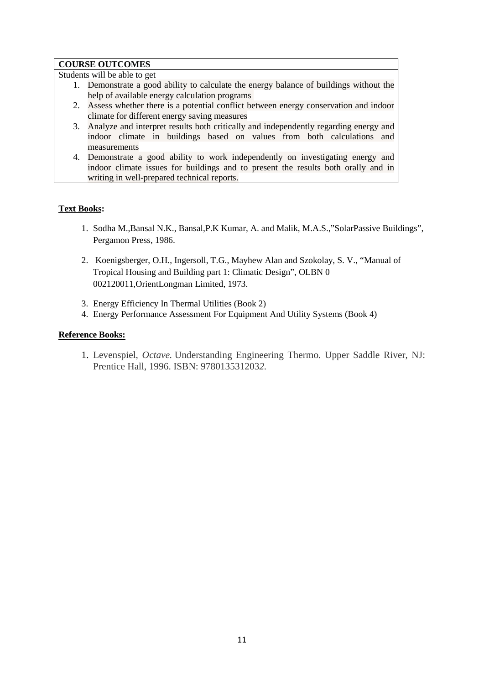#### **COURSE OUTCOMES**

Students will be able to get

- 1. Demonstrate a good ability to calculate the energy balance of buildings without the help of available energy calculation programs
- 2. Assess whether there is a potential conflict between energy conservation and indoor climate for different energy saving measures
- 3. Analyze and interpret results both critically and independently regarding energy and indoor climate in buildings based on values from both calculations and measurements
- 4. Demonstrate a good ability to work independently on investigating energy and indoor climate issues for buildings and to present the results both orally and in writing in well-prepared technical reports.

#### **Text Books:**

- 1. Sodha M.,Bansal N.K., Bansal,P.K Kumar, A. and Malik, M.A.S.,"SolarPassive Buildings", Pergamon Press, 1986.
- 2. Koenigsberger, O.H., Ingersoll, T.G., Mayhew Alan and Szokolay, S. V., "Manual of Tropical Housing and Building part 1: Climatic Design", OLBN 0 002120011,OrientLongman Limited, 1973.
- 3. Energy Efficiency In Thermal Utilities (Book 2)
- 4. Energy Performance Assessment For Equipment And Utility Systems (Book 4)

#### **Reference Books:**

1. Levenspiel, *Octave.* Understanding Engineering Thermo*.* Upper Saddle River, NJ: Prentice Hall, 1996. ISBN: 978013531203*2.*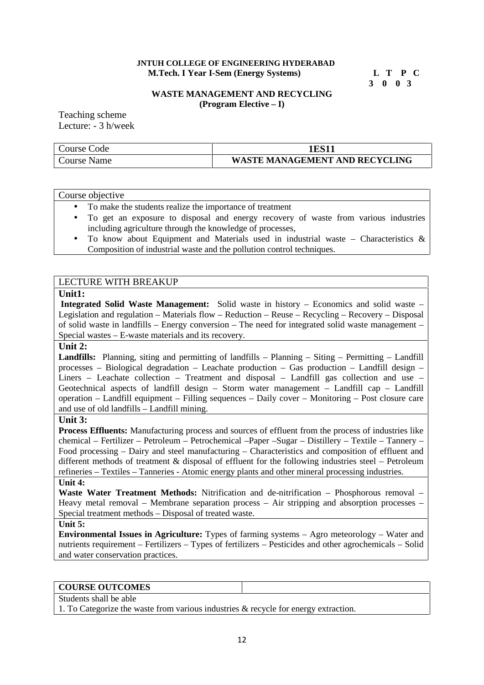#### **JNTUH COLLEGE OF ENGINEERING HYDERABAD M.Tech. I Year I-Sem (Energy Systems) L T P C**

**3 0 0 3**

#### **WASTE MANAGEMENT AND RECYCLING (Program Elective – I)**

Teaching scheme Lecture: - 3 h/week

| Code<br>$\angle$ ourse |                            |
|------------------------|----------------------------|
| Name                   | ' MANAGEMENT AND RECYCLING |
| Course <sup>r</sup>    | <b>WASTE</b>               |

#### Course objective

- To make the students realize the importance of treatment
- To get an exposure to disposal and energy recovery of waste from various industries including agriculture through the knowledge of processes,
- To know about Equipment and Materials used in industrial waste Characteristics  $\&$ Composition of industrial waste and the pollution control techniques.

### LECTURE WITH BREAKUP

#### **Unit1:**

**Integrated Solid Waste Management:** Solid waste in history – Economics and solid waste – Legislation and regulation – Materials flow – Reduction – Reuse – Recycling – Recovery – Disposal of solid waste in landfills – Energy conversion – The need for integrated solid waste management – Special wastes – E-waste materials and its recovery.

### **Unit 2:**

**Landfills:** Planning, siting and permitting of landfills – Planning – Siting – Permitting – Landfill processes – Biological degradation – Leachate production – Gas production – Landfill design – Liners – Leachate collection – Treatment and disposal – Landfill gas collection and use – Geotechnical aspects of landfill design – Storm water management – Landfill cap – Landfill operation – Landfill equipment – Filling sequences – Daily cover – Monitoring – Post closure care and use of old landfills – Landfill mining.

#### **Unit 3:**

**Process Effluents:** Manufacturing process and sources of effluent from the process of industries like chemical – Fertilizer – Petroleum – Petrochemical –Paper –Sugar – Distillery – Textile – Tannery – Food processing – Dairy and steel manufacturing – Characteristics and composition of effluent and different methods of treatment & disposal of effluent for the following industries steel – Petroleum refineries – Textiles – Tanneries - Atomic energy plants and other mineral processing industries.

#### **Unit 4:**

**Waste Water Treatment Methods:** Nitrification and de-nitrification – Phosphorous removal – Heavy metal removal – Membrane separation process – Air stripping and absorption processes – Special treatment methods – Disposal of treated waste.

#### **Unit 5:**

**Environmental Issues in Agriculture:** Types of farming systems – Agro meteorology – Water and nutrients requirement – Fertilizers – Types of fertilizers – Pesticides and other agrochemicals – Solid and water conservation practices.

#### **COURSE OUTCOMES**

Students shall be able

1. To Categorize the waste from various industries & recycle for energy extraction.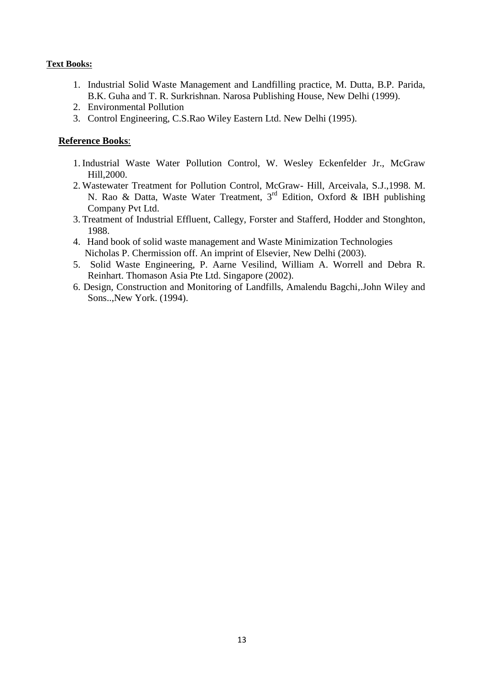# **Text Books:**

- 1. Industrial Solid Waste Management and Landfilling practice, M. Dutta, B.P. Parida, B.K. Guha and T. R. Surkrishnan. Narosa Publishing House, New Delhi (1999).
- 2. Environmental Pollution
- 3. Control Engineering, C.S.Rao Wiley Eastern Ltd. New Delhi (1995).

- 1. Industrial Waste Water Pollution Control, W. Wesley Eckenfelder Jr., McGraw Hill,2000.
- 2. Wastewater Treatment for Pollution Control, McGraw- Hill, Arceivala, S.J.,1998. M. N. Rao & Datta, Waste Water Treatment, 3rd Edition, Oxford & IBH publishing Company Pvt Ltd.
- 3. Treatment of Industrial Effluent, Callegy, Forster and Stafferd, Hodder and Stonghton, 1988.
- 4. Hand book of solid waste management and Waste Minimization Technologies Nicholas P. Chermission off. An imprint of Elsevier, New Delhi (2003).
- 5. Solid Waste Engineering, P. Aarne Vesilind, William A. Worrell and Debra R. Reinhart. Thomason Asia Pte Ltd. Singapore (2002).
- 6. Design, Construction and Monitoring of Landfills, Amalendu Bagchi,.John Wiley and Sons..,New York. (1994).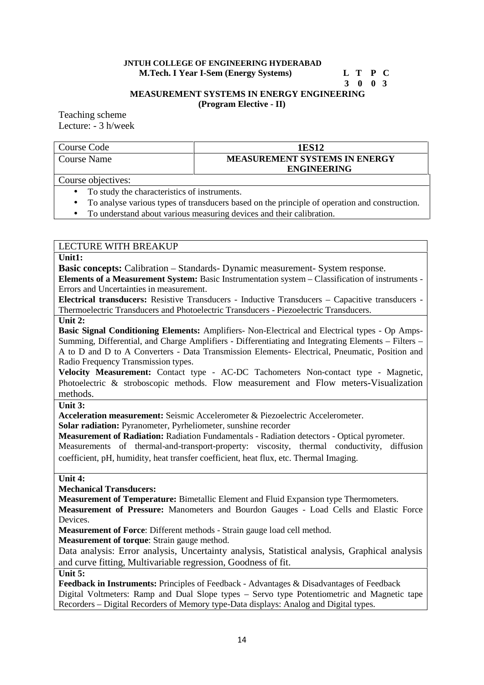# **JNTUH COLLEGE OF ENGINEERING HYDERABAD**

**M.Tech. I Year I-Sem (Energy Systems) L T P C**

### **3 0 0 3**

**MEASUREMENT SYSTEMS IN ENERGY ENGINEERING (Program Elective - II)**

Teaching scheme Lecture: - 3 h/week

| Course Code | 1ES12                                |
|-------------|--------------------------------------|
| Course Name | <b>MEASUREMENT SYSTEMS IN ENERGY</b> |
|             | <b>ENGINEERING</b>                   |
|             |                                      |

Course objectives:

- To study the characteristics of instruments.
- To analyse various types of transducers based on the principle of operation and construction.
- To understand about various measuring devices and their calibration.

# LECTURE WITH BREAKUP

#### **Unit1:**

**Basic concepts:** Calibration – Standards- Dynamic measurement- System response.

**Elements of a Measurement System:** Basic Instrumentation system – Classification of instruments - Errors and Uncertainties in measurement.

**Electrical transducers:** Resistive Transducers - Inductive Transducers – Capacitive transducers - Thermoelectric Transducers and Photoelectric Transducers - Piezoelectric Transducers.

#### **Unit 2:**

**Basic Signal Conditioning Elements:** Amplifiers- Non-Electrical and Electrical types - Op Amps- Summing, Differential, and Charge Amplifiers - Differentiating and Integrating Elements – Filters – A to D and D to A Converters - Data Transmission Elements- Electrical, Pneumatic, Position and Radio Frequency Transmission types.

**Velocity Measurement:** Contact type - AC-DC Tachometers Non-contact type - Magnetic, Photoelectric & stroboscopic methods. Flow measurement and Flow meters-Visualization methods.

**Unit 3:**

**Acceleration measurement:** Seismic Accelerometer & Piezoelectric Accelerometer.

**Solar radiation:** Pyranometer, Pyrheliometer, sunshine recorder

**Measurement of Radiation:** Radiation Fundamentals - Radiation detectors - Optical pyrometer.

Measurements of thermal-and-transport-property: viscosity, thermal conductivity, diffusion coefficient, pH, humidity, heat transfer coefficient, heat flux, etc. Thermal Imaging.

#### **Unit 4:**

**Mechanical Transducers:**

**Measurement of Temperature:** Bimetallic Element and Fluid Expansion type Thermometers.

**Measurement of Pressure:** Manometers and Bourdon Gauges - Load Cells and Elastic Force Devices.

**Measurement of Force**: Different methods - Strain gauge load cell method.

**Measurement of torque**: Strain gauge method.

Data analysis: Error analysis, Uncertainty analysis, Statistical analysis, Graphical analysis and curve fitting, Multivariable regression, Goodness of fit.

**Unit 5:**

**Feedback in Instruments:** Principles of Feedback - Advantages & Disadvantages of Feedback Digital Voltmeters: Ramp and Dual Slope types – Servo type Potentiometric and Magnetic tape Recorders – Digital Recorders of Memory type-Data displays: Analog and Digital types.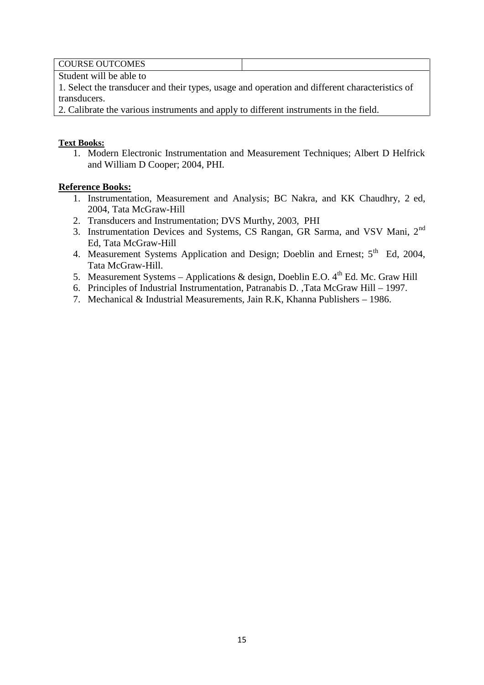COURSE OUTCOMES

Student will be able to

1. Select the transducer and their types, usage and operation and different characteristics of transducers.

2. Calibrate the various instruments and apply to different instruments in the field.

# **Text Books:**

1. Modern Electronic Instrumentation and Measurement Techniques; Albert D Helfrick and William D Cooper; 2004, PHI.

- 1. Instrumentation, Measurement and Analysis; BC Nakra, and KK Chaudhry, 2 ed, 2004, Tata McGraw-Hill
- 2. Transducers and Instrumentation; DVS Murthy, 2003, PHI
- 3. Instrumentation Devices and Systems, CS Rangan, GR Sarma, and VSV Mani, 2nd Ed, Tata McGraw-Hill
- 4. Measurement Systems Application and Design; Doeblin and Ernest; 5<sup>th</sup> Ed, 2004, Tata McGraw-Hill.
- 5. Measurement Systems Applications & design, Doeblin E.O.  $4^{\text{th}}$  Ed. Mc. Graw Hill
- 6. Principles of Industrial Instrumentation, Patranabis D. ,Tata McGraw Hill 1997.
- 7. Mechanical & Industrial Measurements, Jain R.K, Khanna Publishers 1986.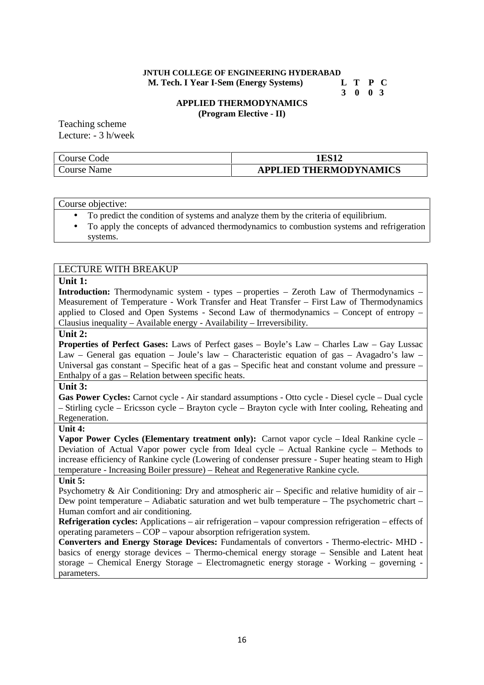#### **JNTUH COLLEGE OF ENGINEERING HYDERABAD M. Tech. I Year I-Sem (Energy Systems) L T P C**

**3 0 0 3**

#### **APPLIED THERMODYNAMICS (Program Elective - II)**

Teaching scheme Lecture: - 3 h/week

| Course<br>Code | பக                            |
|----------------|-------------------------------|
| Course<br>Name | <b>APPLIED THERMODYNAMICS</b> |

#### Course objective:

- To predict the condition of systems and analyze them by the criteria of equilibrium.
- To apply the concepts of advanced thermodynamics to combustion systems and refrigeration systems.

#### LECTURE WITH BREAKUP

# **Unit 1:**

**Introduction:** Thermodynamic system - types – properties – Zeroth Law of Thermodynamics – Measurement of Temperature - Work Transfer and Heat Transfer – First Law of Thermodynamics applied to Closed and Open Systems - Second Law of thermodynamics – Concept of entropy – Clausius inequality – Available energy - Availability – Irreversibility.

#### **Unit 2:**

**Properties of Perfect Gases:** Laws of Perfect gases – Boyle's Law – Charles Law – Gay Lussac Law – General gas equation – Joule's law – Characteristic equation of gas – Avagadro's law – Universal gas constant – Specific heat of a gas – Specific heat and constant volume and pressure – Enthalpy of a gas – Relation between specific heats.

#### **Unit 3:**

**Gas Power Cycles:** Carnot cycle - Air standard assumptions - Otto cycle - Diesel cycle – Dual cycle – Stirling cycle – Ericsson cycle – Brayton cycle – Brayton cycle with Inter cooling, Reheating and Regeneration.

#### **Unit 4:**

**Vapor Power Cycles (Elementary treatment only):** Carnot vapor cycle – Ideal Rankine cycle – Deviation of Actual Vapor power cycle from Ideal cycle – Actual Rankine cycle – Methods to increase efficiency of Rankine cycle (Lowering of condenser pressure - Super heating steam to High temperature - Increasing Boiler pressure) – Reheat and Regenerative Rankine cycle.

#### **Unit 5:**

Psychometry & Air Conditioning: Dry and atmospheric air – Specific and relative humidity of air – Dew point temperature – Adiabatic saturation and wet bulb temperature – The psychometric chart – Human comfort and air conditioning.

**Refrigeration cycles:** Applications – air refrigeration – vapour compression refrigeration – effects of operating parameters – COP – vapour absorption refrigeration system.

**Converters and Energy Storage Devices:** Fundamentals of convertors - Thermo-electric- MHD basics of energy storage devices – Thermo-chemical energy storage – Sensible and Latent heat storage – Chemical Energy Storage – Electromagnetic energy storage - Working – governing parameters.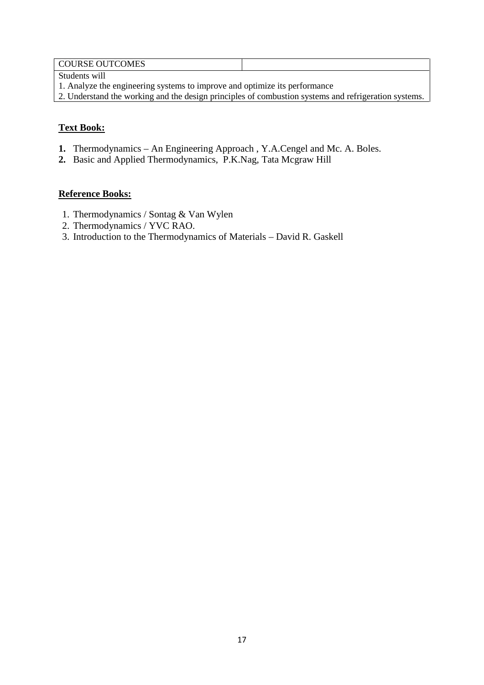# COURSE OUTCOMES

Students will

- 1. Analyze the engineering systems to improve and optimize its performance
- 2. Understand the working and the design principles of combustion systems and refrigeration systems.

# **Text Book:**

- **1.** Thermodynamics An Engineering Approach , Y.A.Cengel and Mc. A. Boles.
- **2.** Basic and Applied Thermodynamics, P.K.Nag, Tata Mcgraw Hill

- 1. Thermodynamics / Sontag & Van Wylen
- 2. Thermodynamics / YVC RAO.
- 3. Introduction to the Thermodynamics of Materials David R. Gaskell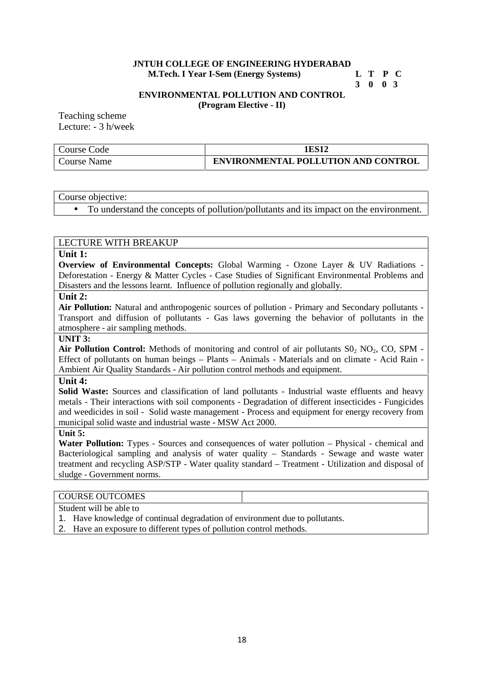#### **JNTUH COLLEGE OF ENGINEERING HYDERABAD M.Tech. I Year I-Sem (Energy Systems) L T P C**

**3 0 0 3**

#### **ENVIRONMENTAL POLLUTION AND CONTROL (Program Elective - II)**

Teaching scheme Lecture: - 3 h/week

| Course Code | 1ES12                                      |
|-------------|--------------------------------------------|
| Course Name | <b>ENVIRONMENTAL POLLUTION AND CONTROL</b> |

Course objective:

To understand the concepts of pollution/pollutants and its impact on the environment.

# LECTURE WITH BREAKUP

#### **Unit 1:**

**Overview of Environmental Concepts:** Global Warming - Ozone Layer & UV Radiations - Deforestation - Energy & Matter Cycles - Case Studies of Significant Environmental Problems and Disasters and the lessons learnt. Influence of pollution regionally and globally.

### **Unit 2:**

**Air Pollution:** Natural and anthropogenic sources of pollution - Primary and Secondary pollutants - Transport and diffusion of pollutants - Gas laws governing the behavior of pollutants in the atmosphere - air sampling methods.

#### **UNIT 3:**

Air Pollution Control: Methods of monitoring and control of air pollutants  $SO_2$   $NO_2$ ,  $CO$ ,  $SPM$  -Effect of pollutants on human beings – Plants – Animals - Materials and on climate - Acid Rain - Ambient Air Quality Standards - Air pollution control methods and equipment.

#### **Unit 4:**

**Solid Waste:** Sources and classification of land pollutants - Industrial waste effluents and heavy metals - Their interactions with soil components - Degradation of different insecticides - Fungicides and weedicides in soil - Solid waste management - Process and equipment for energy recovery from municipal solid waste and industrial waste - MSW Act 2000.

#### **Unit 5:**

**Water Pollution:** Types - Sources and consequences of water pollution – Physical - chemical and Bacteriological sampling and analysis of water quality – Standards - Sewage and waste water treatment and recycling ASP/STP - Water quality standard – Treatment - Utilization and disposal of sludge - Government norms.

# COURSE OUTCOMES

Student will be able to

- 1. Have knowledge of continual degradation of environment due to pollutants.
- 2. Have an exposure to different types of pollution control methods.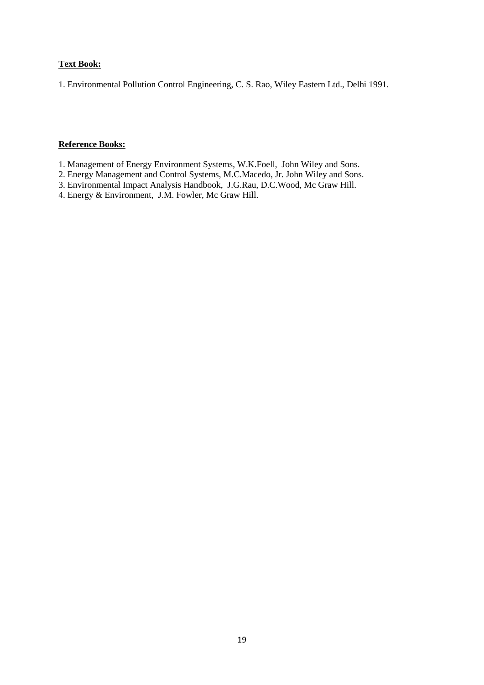### **Text Book:**

1. Environmental Pollution Control Engineering, C. S. Rao, Wiley Eastern Ltd., Delhi 1991.

- 1. Management of Energy Environment Systems, W.K.Foell, John Wiley and Sons.
- 2. Energy Management and Control Systems, M.C.Macedo, Jr. John Wiley and Sons.
- 3. Environmental Impact Analysis Handbook, J.G.Rau, D.C.Wood, Mc Graw Hill.
- 4. Energy & Environment, J.M. Fowler, Mc Graw Hill.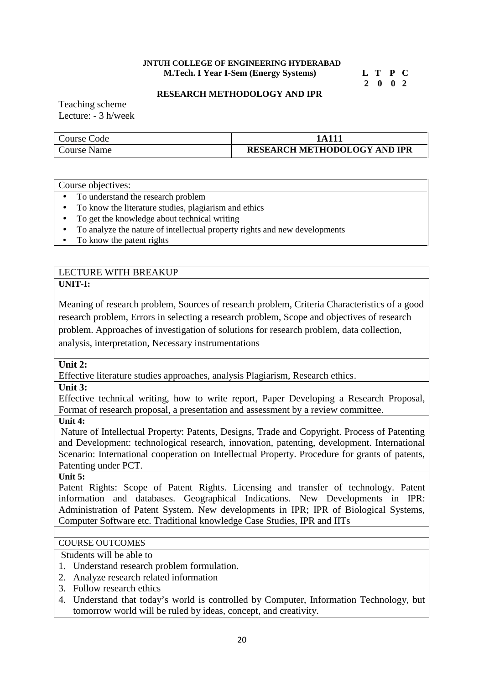#### **JNTUH COLLEGE OF ENGINEERING HYDERABAD M.Tech. I Year I-Sem (Energy Systems) L T P C**

**2 0 0 2**

#### **RESEARCH METHODOLOGY AND IPR**

Teaching scheme Lecture: - 3 h/week

| Course Code | A 1 1 1                             |
|-------------|-------------------------------------|
| Course Name | <b>RESEARCH METHODOLOGY AND IPR</b> |

#### Course objectives:

- To understand the research problem
- To know the literature studies, plagiarism and ethics
- To get the knowledge about technical writing
- To analyze the nature of intellectual property rights and new developments
- To know the patent rights

#### LECTURE WITH BREAKUP **UNIT-I:**

Meaning of research problem, Sources of research problem, Criteria Characteristics of a good research problem, Errors in selecting a research problem, Scope and objectives of research problem. Approaches of investigation of solutions for research problem, data collection, analysis, interpretation, Necessary instrumentations

#### **Unit 2:**

Effective literature studies approaches, analysis Plagiarism, Research ethics.

**Unit 3:**

Effective technical writing, how to write report, Paper Developing a Research Proposal, Format of research proposal, a presentation and assessment by a review committee.

**Unit 4:**

Nature of Intellectual Property: Patents, Designs, Trade and Copyright. Process of Patenting and Development: technological research, innovation, patenting, development. International Scenario: International cooperation on Intellectual Property. Procedure for grants of patents, Patenting under PCT.

# **Unit 5:**

Patent Rights: Scope of Patent Rights. Licensing and transfer of technology. Patent information and databases. Geographical Indications. New Developments in IPR: Administration of Patent System. New developments in IPR; IPR of Biological Systems, Computer Software etc. Traditional knowledge Case Studies, IPR and IITs

# COURSE OUTCOMES

Students will be able to

- 1. Understand research problem formulation.
- 2. Analyze research related information
- 3. Follow research ethics
- 4. Understand that today's world is controlled by Computer, Information Technology, but tomorrow world will be ruled by ideas, concept, and creativity.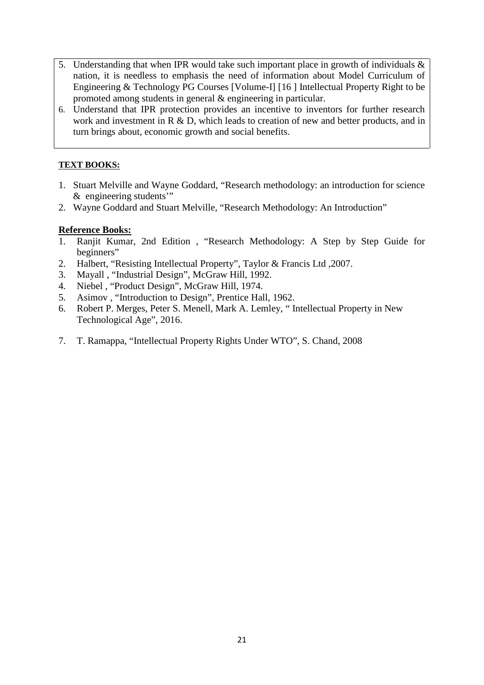- 5. Understanding that when IPR would take such important place in growth of individuals & nation, it is needless to emphasis the need of information about Model Curriculum of Engineering & Technology PG Courses [Volume-I] [16 ] Intellectual Property Right to be promoted among students in general & engineering in particular.
- 6. Understand that IPR protection provides an incentive to inventors for further research work and investment in R & D, which leads to creation of new and better products, and in turn brings about, economic growth and social benefits.

# **TEXT BOOKS:**

- 1. Stuart Melville and Wayne Goddard, "Research methodology: an introduction for science & engineering students'"
- 2. Wayne Goddard and Stuart Melville, "Research Methodology: An Introduction"

- 1. Ranjit Kumar, 2nd Edition , "Research Methodology: A Step by Step Guide for beginners"
- 2. Halbert, "Resisting Intellectual Property", Taylor & Francis Ltd ,2007.
- 3. Mayall , "Industrial Design", McGraw Hill, 1992.
- 4. Niebel , "Product Design", McGraw Hill, 1974.
- 5. Asimov , "Introduction to Design", Prentice Hall, 1962.
- 6. Robert P. Merges, Peter S. Menell, Mark A. Lemley, " Intellectual Property in New Technological Age", 2016.
- 7. T. Ramappa, "Intellectual Property Rights Under WTO", S. Chand, 2008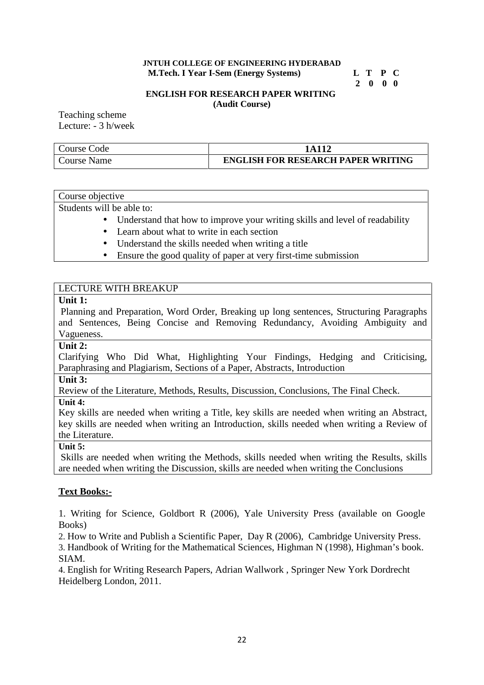#### **JNTUH COLLEGE OF ENGINEERING HYDERABAD M.Tech. I Year I-Sem (Energy Systems) L T P C**

# **2 0 0 0**

# **ENGLISH FOR RESEARCH PAPER WRITING**

**(Audit Course)**

Teaching scheme Lecture: - 3 h/week

| Course Code | 1 A 1 1 2                                 |
|-------------|-------------------------------------------|
| Course Name | <b>ENGLISH FOR RESEARCH PAPER WRITING</b> |

Course objective

Students will be able to:

- Understand that how to improve your writing skills and level of readability
- Learn about what to write in each section
- Understand the skills needed when writing a title
- Ensure the good quality of paper at very first-time submission

# LECTURE WITH BREAKUP

# **Unit 1:**

Planning and Preparation, Word Order, Breaking up long sentences, Structuring Paragraphs and Sentences, Being Concise and Removing Redundancy, Avoiding Ambiguity and Vagueness.

### **Unit 2:**

Clarifying Who Did What, Highlighting Your Findings, Hedging and Criticising, Paraphrasing and Plagiarism, Sections of a Paper, Abstracts, Introduction

**Unit 3:**

Review of the Literature, Methods, Results, Discussion, Conclusions, The Final Check.

**Unit 4:**

Key skills are needed when writing a Title, key skills are needed when writing an Abstract, key skills are needed when writing an Introduction, skills needed when writing a Review of the Literature.

**Unit 5:**

Skills are needed when writing the Methods, skills needed when writing the Results, skills are needed when writing the Discussion, skills are needed when writing the Conclusions

# **Text Books:-**

1. Writing for Science, Goldbort R (2006), Yale University Press (available on Google Books)

2. How to Write and Publish a Scientific Paper, Day R (2006), Cambridge University Press.

3. Handbook of Writing for the Mathematical Sciences, Highman N (1998), Highman's book. SIAM.

4. English for Writing Research Papers, Adrian Wallwork , Springer New York Dordrecht Heidelberg London, 2011.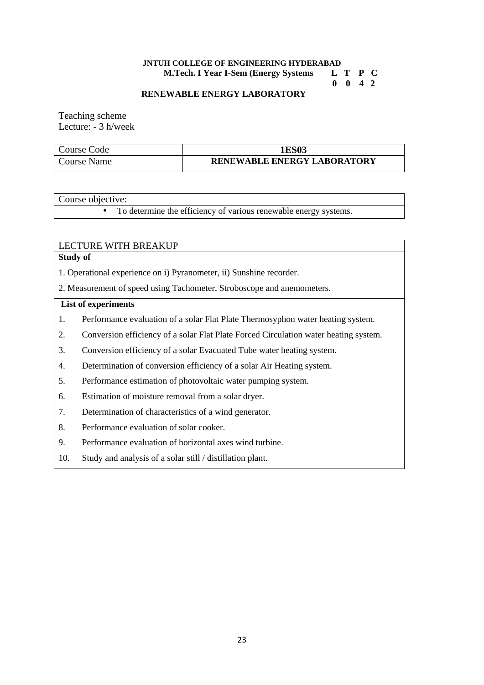# **JNTUH COLLEGE OF ENGINEERING HYDERABAD<br>M.Tech. I Year I-Sem (Energy Systems LTPC)**

**M.Tech. I Year I-Sem (Energy Systems** 

**0 0 4 2**

#### **RENEWABLE ENERGY LABORATORY**

Teaching scheme Lecture: - 3 h/week

| Course Code | <b>1ES03</b>                       |
|-------------|------------------------------------|
| Course Name | <b>RENEWABLE ENERGY LABORATORY</b> |

Course objective:

To determine the efficiency of various renewable energy systems.

# LECTURE WITH BREAKUP

#### **Study of**

1. Operational experience on i) Pyranometer, ii) Sunshine recorder.

2. Measurement of speed using Tachometer, Stroboscope and anemometers.

#### **List of experiments**

- 1. Performance evaluation of a solar Flat Plate Thermosyphon water heating system.
- 2. Conversion efficiency of a solar Flat Plate Forced Circulation water heating system.
- 3. Conversion efficiency of a solar Evacuated Tube water heating system.
- 4. Determination of conversion efficiency of a solar Air Heating system.
- 5. Performance estimation of photovoltaic water pumping system.
- 6. Estimation of moisture removal from a solar dryer.
- 7. Determination of characteristics of a wind generator.
- 8. Performance evaluation of solar cooker.
- 9. Performance evaluation of horizontal axes wind turbine.
- 10. Study and analysis of a solar still / distillation plant.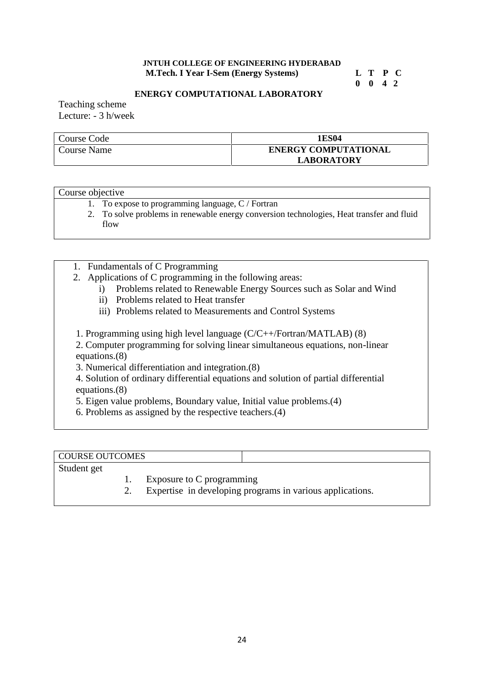### **JNTUH COLLEGE OF ENGINEERING HYDERABAD M.Tech. I Year I-Sem (Energy Systems) L T P C**

**0 0 4 2**

# **ENERGY COMPUTATIONAL LABORATORY**

Teaching scheme Lecture: - 3 h/week

| Course Code | 1 ES04                      |
|-------------|-----------------------------|
| Course Name | <b>ENERGY COMPUTATIONAL</b> |
|             | <b>LABORATORY</b>           |

#### Course objective

- 1. To expose to programming language, C / Fortran
- 2. To solve problems in renewable energy conversion technologies, Heat transfer and fluid flow
- 1. Fundamentals of C Programming
- 2. Applications of C programming in the following areas:
	- i) Problems related to Renewable Energy Sources such as Solar and Wind
	- ii) Problems related to Heat transfer
	- iii) Problems related to Measurements and Control Systems
- 1. Programming using high level language (C/C++/Fortran/MATLAB) (8)

2. Computer programming for solving linear simultaneous equations, non-linear equations.(8)

3. Numerical differentiation and integration.(8)

4. Solution of ordinary differential equations and solution of partial differential equations.(8)

5. Eigen value problems, Boundary value, Initial value problems.(4)

6. Problems as assigned by the respective teachers.(4)

| COURSE OUTCOMES |                           |  |
|-----------------|---------------------------|--|
| Student get     |                           |  |
|                 | Exposure to C programming |  |

2. Expertise in developing programs in various applications.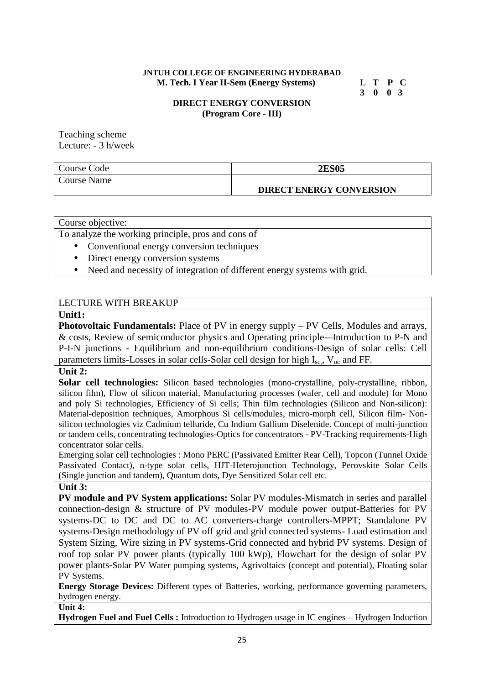**JNTUH COLLEGE OF ENGINEERING HYDERABAD M. Tech. I Year II-Sem (Energy Systems) L T P C**

**3 0 0 3**

### **DIRECT ENERGY CONVERSION (Program Core - III)**

Teaching scheme Lecture: - 3 h/week

| Course Code | <b>2ES05</b>                    |
|-------------|---------------------------------|
| Course Name |                                 |
|             | <b>DIRECT ENERGY CONVERSION</b> |

Course objective:

To analyze the working principle, pros and cons of

- Conventional energy conversion techniques
- Direct energy conversion systems
- Need and necessity of integration of different energy systems with grid.

# LECTURE WITH BREAKUP

#### **Unit1:**

**Photovoltaic Fundamentals:** Place of PV in energy supply – PV Cells, Modules and arrays, & costs, Review of semiconductor physics and Operating principle-–Introduction to P-N and P-I-N junctions - Equilibrium and non-equilibrium conditions-Design of solar cells: Cell parameters limits-Losses in solar cells-Solar cell design for high  $I_{sc}$ ,  $V_{oc}$  and FF.

# **Unit 2:**

**Solar cell technologies:** Silicon based technologies (mono-crystalline, poly-crystalline, ribbon, silicon film), Flow of silicon material, Manufacturing processes (wafer, cell and module) for Mono and poly Si technologies, Efficiency of Si cells; Thin film technologies (Silicon and Non-silicon): Material-deposition techniques, Amorphous Si cells/modules, micro-morph cell, Silicon film- Non silicon technologies viz Cadmium telluride, Cu Indium Gallium Diselenide. Concept of multi-junction or tandem cells, concentrating technologies-Optics for concentrators - PV-Tracking requirements-High concentrator solar cells.

Emerging solar cell technologies : Mono PERC (Passivated Emitter Rear Cell), Topcon (Tunnel Oxide Passivated Contact), n-type solar cells, HJT-Heterojunction Technology, Perovskite Solar Cells (Single junction and tandem), Quantum dots, Dye Sensitized Solar cell etc.

#### **Unit 3:**

**PV module and PV System applications:** Solar PV modules-Mismatch in series and parallel connection-design & structure of PV modules-PV module power output-Batteries for PV systems-DC to DC and DC to AC converters-charge controllers-MPPT; Standalone PV systems-Design methodology of PV off grid and grid connected systems- Load estimation and System Sizing, Wire sizing in PV systems-Grid connected and hybrid PV systems. Design of roof top solar PV power plants (typically 100 kWp), Flowchart for the design of solar PV power plants-Solar PV Water pumping systems, Agrivoltaics (concept and potential), Floating solar PV Systems.

**Energy Storage Devices:** Different types of Batteries, working, performance governing parameters, hydrogen energy.

#### **Unit 4:**

**Hydrogen Fuel and Fuel Cells :** Introduction to Hydrogen usage in IC engines – Hydrogen Induction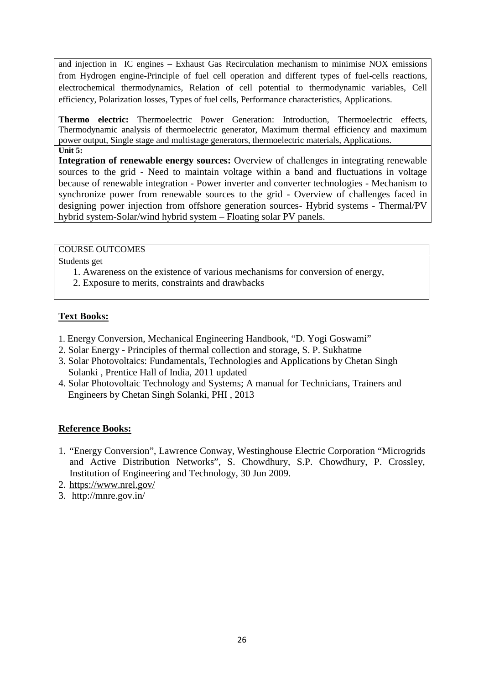and injection in IC engines – Exhaust Gas Recirculation mechanism to minimise NOX emissions from Hydrogen engine-Principle of fuel cell operation and different types of fuel-cells reactions, electrochemical thermodynamics, Relation of cell potential to thermodynamic variables, Cell efficiency, Polarization losses, Types of fuel cells, Performance characteristics, Applications.

**Thermo electric:** Thermoelectric Power Generation: Introduction, Thermoelectric effects, Thermodynamic analysis of thermoelectric generator, Maximum thermal efficiency and maximum power output, Single stage and multistage generators, thermoelectric materials, Applications. **Unit 5:**

**Integration of renewable energy sources:** Overview of challenges in integrating renewable sources to the grid - Need to maintain voltage within a band and fluctuations in voltage because of renewable integration - Power inverter and converter technologies - Mechanism to synchronize power from renewable sources to the grid - Overview of challenges faced in designing power injection from offshore generation sources- Hybrid systems - Thermal/PV hybrid system-Solar/wind hybrid system – Floating solar PV panels.

#### COURSE OUTCOMES

Students get

- 1. Awareness on the existence of various mechanisms for conversion of energy,
- 2. Exposure to merits, constraints and drawbacks

# **Text Books:**

- 1. Energy Conversion, Mechanical Engineering Handbook, "D. Yogi Goswami"
- 2. Solar Energy Principles of thermal collection and storage, S. P. Sukhatme
- 3. Solar Photovoltaics: Fundamentals, Technologies and Applications by Chetan Singh Solanki , Prentice Hall of India, 2011 updated
- 4. Solar Photovoltaic Technology and Systems; A manual for Technicians, Trainers and Engineers by Chetan Singh Solanki, PHI , 2013

- 1. "Energy Conversion", Lawrence Conway, Westinghouse Electric Corporation "Microgrids and Active Distribution Networks", S. Chowdhury, S.P. Chowdhury, P. Crossley, Institution of Engineering and Technology, 30 Jun 2009.
- 2. https://www.nrel.gov/
- 3. http://mnre.gov.in/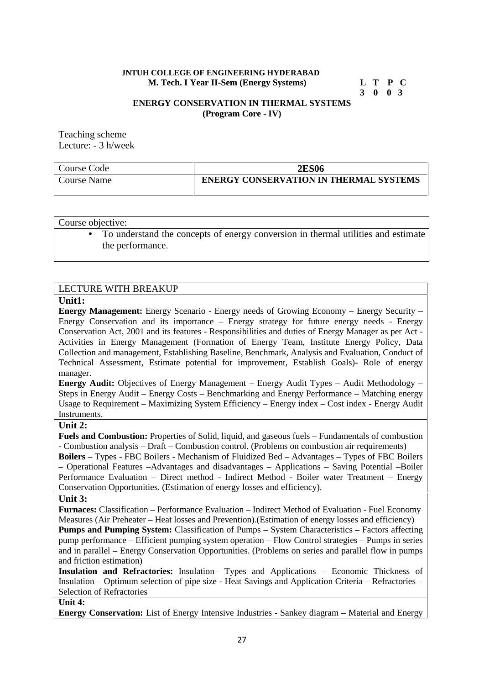#### **JNTUH COLLEGE OF ENGINEERING HYDERABAD M. Tech. I Year II-Sem (Energy Systems) L T P C**

# **3 0 0 3**

#### **ENERGY CONSERVATION IN THERMAL SYSTEMS (Program Core - IV)**

Teaching scheme Lecture: - 3 h/week

| Course Code | <b>2ES06</b>                                  |
|-------------|-----------------------------------------------|
| Course Name | <b>ENERGY CONSERVATION IN THERMAL SYSTEMS</b> |

Course objective:

 To understand the concepts of energy conversion in thermal utilities and estimate the performance.

# LECTURE WITH BREAKUP

#### **Unit1:**

**Energy Management:** Energy Scenario - Energy needs of Growing Economy – Energy Security – Energy Conservation and its importance – Energy strategy for future energy needs - Energy Conservation Act, 2001 and its features - Responsibilities and duties of Energy Manager as per Act - Activities in Energy Management (Formation of Energy Team, Institute Energy Policy, Data Collection and management, Establishing Baseline, Benchmark, Analysis and Evaluation, Conduct of Technical Assessment, Estimate potential for improvement, Establish Goals)- Role of energy manager.

**Energy Audit:** Objectives of Energy Management – Energy Audit Types – Audit Methodology – Steps in Energy Audit – Energy Costs – Benchmarking and Energy Performance – Matching energy Usage to Requirement – Maximizing System Efficiency – Energy index – Cost index - Energy Audit Instruments.

#### **Unit 2:**

**Fuels and Combustion:** Properties of Solid, liquid, and gaseous fuels – Fundamentals of combustion - Combustion analysis – Draft – Combustion control. (Problems on combustion air requirements)

**Boilers** – Types - FBC Boilers - Mechanism of Fluidized Bed – Advantages – Types of FBC Boilers – Operational Features –Advantages and disadvantages – Applications – Saving Potential –Boiler Performance Evaluation – Direct method - Indirect Method - Boiler water Treatment – Energy Conservation Opportunities. (Estimation of energy losses and efficiency).

#### **Unit 3:**

**Furnaces:** Classification – Performance Evaluation – Indirect Method of Evaluation - Fuel Economy Measures (Air Preheater – Heat losses and Prevention).(Estimation of energy losses and efficiency)

**Pumps and Pumping System:** Classification of Pumps – System Characteristics – Factors affecting pump performance – Efficient pumping system operation – Flow Control strategies – Pumps in series and in parallel – Energy Conservation Opportunities. (Problems on series and parallel flow in pumps and friction estimation)

**Insulation and Refractories:** Insulation– Types and Applications – Economic Thickness of Insulation – Optimum selection of pipe size - Heat Savings and Application Criteria – Refractories – Selection of Refractories

#### **Unit 4:**

**Energy Conservation:** List of Energy Intensive Industries - Sankey diagram – Material and Energy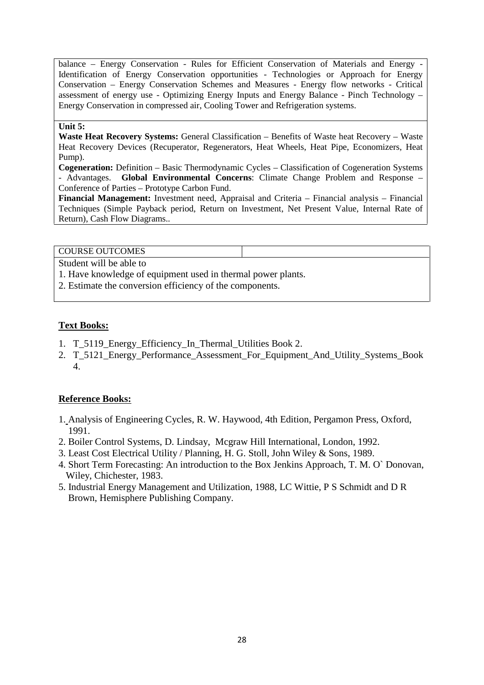balance – Energy Conservation - Rules for Efficient Conservation of Materials and Energy - Identification of Energy Conservation opportunities - Technologies or Approach for Energy Conservation – Energy Conservation Schemes and Measures - Energy flow networks - Critical assessment of energy use - Optimizing Energy Inputs and Energy Balance - Pinch Technology – Energy Conservation in compressed air, Cooling Tower and Refrigeration systems.

#### **Unit 5:**

**Waste Heat Recovery Systems:** General Classification – Benefits of Waste heat Recovery – Waste Heat Recovery Devices (Recuperator, Regenerators, Heat Wheels, Heat Pipe, Economizers, Heat Pump).

**Cogeneration:** Definition – Basic Thermodynamic Cycles – Classification of Cogeneration Systems - Advantages. **Global Environmental Concerns**: Climate Change Problem and Response – Conference of Parties – Prototype Carbon Fund.

**Financial Management:** Investment need, Appraisal and Criteria – Financial analysis – Financial Techniques (Simple Payback period, Return on Investment, Net Present Value, Internal Rate of Return), Cash Flow Diagrams..

COURSE OUTCOMES

Student will be able to

1. Have knowledge of equipment used in thermal power plants.

2. Estimate the conversion efficiency of the components.

# **Text Books:**

- 1. T\_5119 Energy\_Efficiency\_In\_Thermal\_Utilities Book 2.
- 2. T\_5121 Energy\_Performance\_Assessment\_For\_Equipment\_And\_Utility\_Systems\_Book 4.

- 1. Analysis of Engineering Cycles, R. W. Haywood, 4th Edition, Pergamon Press, Oxford, 1991.
- 2. Boiler Control Systems, D. Lindsay, Mcgraw Hill International, London, 1992.
- 3. Least Cost Electrical Utility / Planning, H. G. Stoll, John Wiley & Sons, 1989.
- 4. Short Term Forecasting: An introduction to the Box Jenkins Approach, T. M. O` Donovan, Wiley, Chichester, 1983.
- 5. Industrial Energy Management and Utilization, 1988, LC Wittie, P S Schmidt and D R Brown, Hemisphere Publishing Company.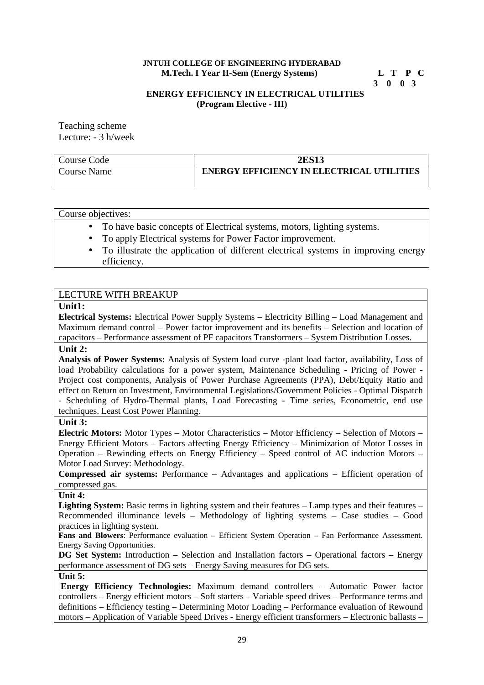#### **JNTUH COLLEGE OF ENGINEERING HYDERABAD<br>
M.Tech. I Year II-Sem (Energy Systems)** L T P C **M.Tech. I Year II-Sem (Energy Systems)**

**3 0 0 3**

#### **ENERGY EFFICIENCY IN ELECTRICAL UTILITIES (Program Elective - III)**

Teaching scheme Lecture: - 3 h/week

| Course Code | <b>2ES13</b>                                     |
|-------------|--------------------------------------------------|
| Jourse Name | <b>ENERGY EFFICIENCY IN ELECTRICAL UTILITIES</b> |

| Course objectives: |  |
|--------------------|--|
|                    |  |

- To have basic concepts of Electrical systems, motors, lighting systems.
- To apply Electrical systems for Power Factor improvement.
- To illustrate the application of different electrical systems in improving energy efficiency.

# LECTURE WITH BREAKUP

#### **Unit1:**

**Electrical Systems:** Electrical Power Supply Systems – Electricity Billing – Load Management and Maximum demand control – Power factor improvement and its benefits – Selection and location of capacitors – Performance assessment of PF capacitors Transformers – System Distribution Losses.

### **Unit 2:**

**Analysis of Power Systems:** Analysis of System load curve -plant load factor, availability, Loss of load Probability calculations for a power system, Maintenance Scheduling - Pricing of Power - Project cost components, Analysis of Power Purchase Agreements (PPA), Debt/Equity Ratio and effect on Return on Investment, Environmental Legislations/Government Policies - Optimal Dispatch - Scheduling of Hydro-Thermal plants, Load Forecasting - Time series, Econometric, end use techniques. Least Cost Power Planning.

#### **Unit 3:**

**Electric Motors:** Motor Types – Motor Characteristics – Motor Efficiency – Selection of Motors – Energy Efficient Motors – Factors affecting Energy Efficiency – Minimization of Motor Losses in Operation – Rewinding effects on Energy Efficiency – Speed control of AC induction Motors – Motor Load Survey: Methodology.

**Compressed air systems:** Performance – Advantages and applications – Efficient operation of compressed gas.

# **Unit 4:**

**Lighting System:** Basic terms in lighting system and their features – Lamp types and their features – Recommended illuminance levels – Methodology of lighting systems – Case studies – Good practices in lighting system.

**Fans and Blowers**: Performance evaluation – Efficient System Operation – Fan Performance Assessment. Energy Saving Opportunities.

**DG Set System:** Introduction – Selection and Installation factors – Operational factors – Energy performance assessment of DG sets – Energy Saving measures for DG sets. **Unit 5:**

**Energy Efficiency Technologies:** Maximum demand controllers – Automatic Power factor controllers – Energy efficient motors – Soft starters – Variable speed drives – Performance terms and definitions – Efficiency testing – Determining Motor Loading – Performance evaluation of Rewound motors – Application of Variable Speed Drives - Energy efficient transformers – Electronic ballasts –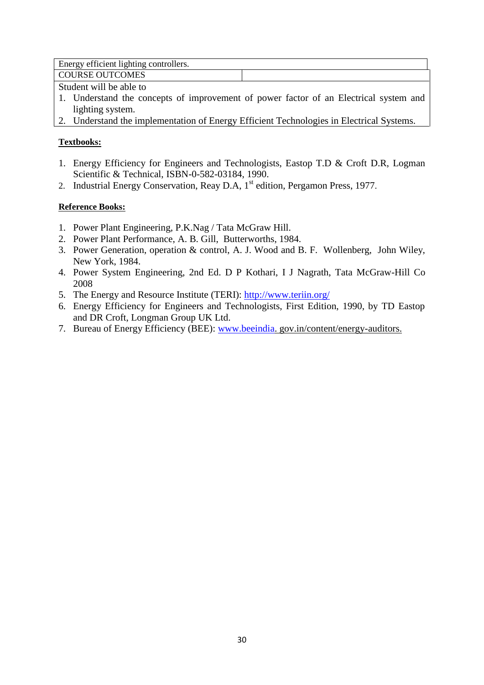Energy efficient lighting controllers.

COURSE OUTCOMES

Student will be able to

- 1. Understand the concepts of improvement of power factor of an Electrical system and lighting system.
- 2. Understand the implementation of Energy Efficient Technologies in Electrical Systems.

# **Textbooks:**

- 1. Energy Efficiency for Engineers and Technologists, Eastop T.D & Croft D.R, Logman Scientific & Technical, ISBN-0-582-03184, 1990.
- 2. Industrial Energy Conservation, Reay D.A,  $1<sup>st</sup>$  edition, Pergamon Press, 1977.

- 1. Power Plant Engineering, P.K.Nag / Tata McGraw Hill.
- 2. Power Plant Performance, A. B. Gill, Butterworths, 1984.
- 3. Power Generation, operation & control, A. J. Wood and B. F. Wollenberg, John Wiley, New York, 1984.
- 4. Power System Engineering, 2nd Ed. D P Kothari, I J Nagrath, Tata McGraw-Hill Co 2008
- 5. The Energy and Resource Institute (TERI): http://www.teriin.org/
- 6. Energy Efficiency for Engineers and Technologists, First Edition, 1990, by TD Eastop and DR Croft, Longman Group UK Ltd.
- 7. Bureau of Energy Efficiency (BEE): www.beeindia. gov.in/content/energy-auditors.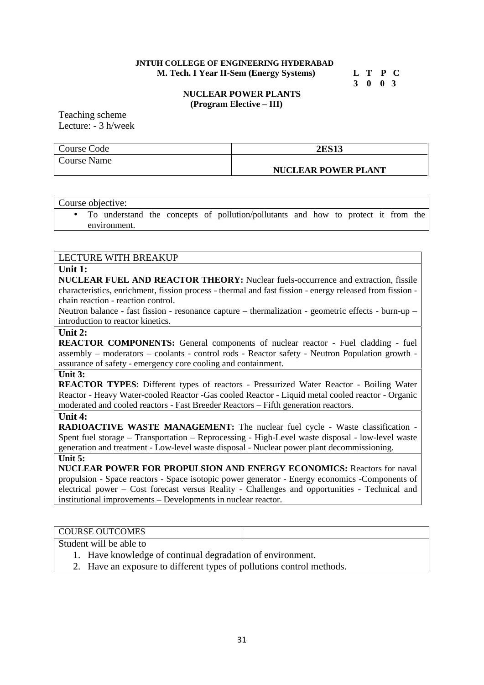#### **JNTUH COLLEGE OF ENGINEERING HYDERABAD M. Tech. I Year II-Sem (Energy Systems) L T P C**

# **3 0 0 3**

#### **NUCLEAR POWER PLANTS (Program Elective – III)**

Teaching scheme Lecture: - 3 h/week

| Course Code | <b>2ES13</b>               |
|-------------|----------------------------|
| Course Name |                            |
|             | <b>NUCLEAR POWER PLANT</b> |

|  | Course objective: |  |                                                                                   |  |  |  |  |
|--|-------------------|--|-----------------------------------------------------------------------------------|--|--|--|--|
|  |                   |  | To understand the concepts of pollution/pollutants and how to protect it from the |  |  |  |  |

environment.

#### LECTURE WITH BREAKUP

#### **Unit 1:**

**NUCLEAR FUEL AND REACTOR THEORY:** Nuclear fuels-occurrence and extraction, fissile characteristics, enrichment, fission process - thermal and fast fission - energy released from fission chain reaction - reaction control.

Neutron balance - fast fission - resonance capture – thermalization - geometric effects - burn-up – introduction to reactor kinetics.

#### **Unit 2:**

**REACTOR COMPONENTS:** General components of nuclear reactor - Fuel cladding - fuel assembly – moderators – coolants - control rods - Reactor safety - Neutron Population growth assurance of safety - emergency core cooling and containment.

#### **Unit 3:**

**REACTOR TYPES**: Different types of reactors - Pressurized Water Reactor - Boiling Water Reactor - Heavy Water-cooled Reactor -Gas cooled Reactor - Liquid metal cooled reactor - Organic moderated and cooled reactors - Fast Breeder Reactors – Fifth generation reactors.

#### **Unit 4:**

**RADIOACTIVE WASTE MANAGEMENT:** The nuclear fuel cycle - Waste classification -Spent fuel storage – Transportation – Reprocessing - High-Level waste disposal - low-level waste generation and treatment - Low-level waste disposal - Nuclear power plant decommissioning. **Unit 5:**

**NUCLEAR POWER FOR PROPULSION AND ENERGY ECONOMICS:** Reactors for naval propulsion - Space reactors - Space isotopic power generator - Energy economics -Components of electrical power – Cost forecast versus Reality - Challenges and opportunities - Technical and institutional improvements – Developments in nuclear reactor.

#### COURSE OUTCOMES

Student will be able to

- 1. Have knowledge of continual degradation of environment.
- 2. Have an exposure to different types of pollutions control methods.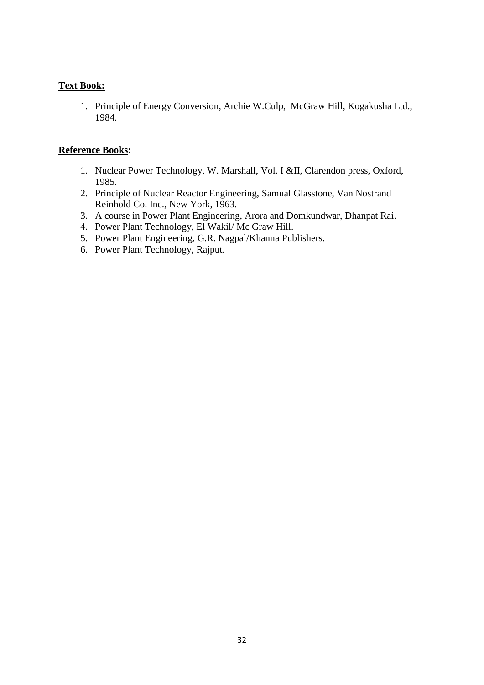# **Text Book:**

1. Principle of Energy Conversion, Archie W.Culp, McGraw Hill, Kogakusha Ltd., 1984.

- 1. Nuclear Power Technology, W. Marshall, Vol. I &II, Clarendon press, Oxford, 1985.
- 2. Principle of Nuclear Reactor Engineering, Samual Glasstone, Van Nostrand Reinhold Co. Inc., New York, 1963.
- 3. A course in Power Plant Engineering, Arora and Domkundwar, Dhanpat Rai.
- 4. Power Plant Technology, El Wakil/ Mc Graw Hill.
- 5. Power Plant Engineering, G.R. Nagpal/Khanna Publishers.
- 6. Power Plant Technology, Rajput.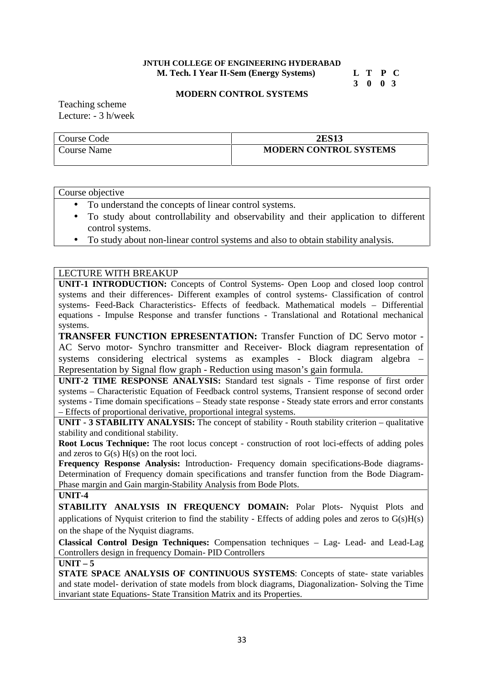#### **JNTUH COLLEGE OF ENGINEERING HYDERABAD M. Tech. I Year II-Sem (Energy Systems) L T P C**

# **3 0 0 3**

#### **MODERN CONTROL SYSTEMS**

Teaching scheme Lecture: - 3 h/week

| Course Code | <b>2ES13</b>                  |
|-------------|-------------------------------|
| Course Name | <b>MODERN CONTROL SYSTEMS</b> |

Course objective

- To understand the concepts of linear control systems.
- To study about controllability and observability and their application to different control systems.
- To study about non-linear control systems and also to obtain stability analysis.

# LECTURE WITH BREAKUP

**UNIT-1 INTRODUCTION:** Concepts of Control Systems- Open Loop and closed loop control systems and their differences- Different examples of control systems- Classification of control systems- Feed-Back Characteristics- Effects of feedback. Mathematical models – Differential equations - Impulse Response and transfer functions - Translational and Rotational mechanical systems.

**TRANSFER FUNCTION EPRESENTATION:** Transfer Function of DC Servo motor - AC Servo motor- Synchro transmitter and Receiver- Block diagram representation of systems considering electrical systems as examples - Block diagram algebra – Representation by Signal flow graph - Reduction using mason's gain formula.

**UNIT-2 TIME RESPONSE ANALYSIS:** Standard test signals - Time response of first order systems – Characteristic Equation of Feedback control systems, Transient response of second order systems - Time domain specifications – Steady state response - Steady state errors and error constants – Effects of proportional derivative, proportional integral systems.

**UNIT - 3 STABILITY ANALYSIS:** The concept of stability - Routh stability criterion – qualitative stability and conditional stability.

**Root Locus Technique:** The root locus concept - construction of root loci-effects of adding poles and zeros to G(s) H(s) on the root loci.

**Frequency Response Analysis:** Introduction- Frequency domain specifications-Bode diagrams- Determination of Frequency domain specifications and transfer function from the Bode Diagram- Phase margin and Gain margin-Stability Analysis from Bode Plots.

**UNIT-4**

**STABILITY ANALYSIS IN FREQUENCY DOMAIN:** Polar Plots- Nyquist Plots and applications of Nyquist criterion to find the stability - Effects of adding poles and zeros to G(s)H(s) on the shape of the Nyquist diagrams.

**Classical Control Design Techniques:** Compensation techniques – Lag- Lead- and Lead-Lag Controllers design in frequency Domain- PID Controllers

#### $UNIT - 5$

**STATE SPACE ANALYSIS OF CONTINUOUS SYSTEMS**: Concepts of state- state variables and state model- derivation of state models from block diagrams, Diagonalization- Solving the Time invariant state Equations- State Transition Matrix and its Properties.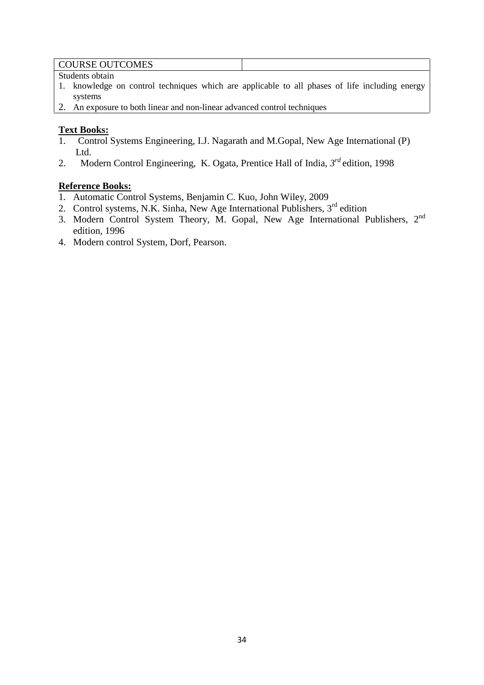### COURSE OUTCOMES

Students obtain

- 1. knowledge on control techniques which are applicable to all phases of life including energy systems
- 2. An exposure to both linear and non-linear advanced control techniques

# **Text Books:**

- 1. Control Systems Engineering, I.J. Nagarath and M.Gopal, New Age International (P) Ltd.
- 2. Modern Control Engineering, K. Ogata, Prentice Hall of India, *3 rd* edition, 1998

- 1. Automatic Control Systems, Benjamin C. Kuo, John Wiley, 2009
- 2. Control systems, N.K. Sinha, New Age International Publishers,  $3<sup>rd</sup>$  edition
- 3. Modern Control System Theory, M. Gopal, New Age International Publishers,  $2<sup>nd</sup>$ edition, 1996
- 4. Modern control System, Dorf, Pearson.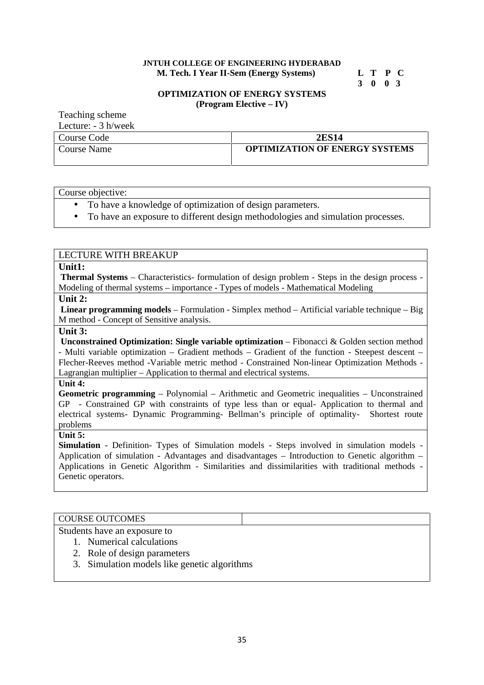#### **JNTUH COLLEGE OF ENGINEERING HYDERABAD M. Tech. I Year II-Sem (Energy Systems) L T P C**

# **3 0 0 3**

#### **OPTIMIZATION OF ENERGY SYSTEMS (Program Elective – IV)**

Teaching scheme  $I$  ecture:  $\frac{2}{3}$  h/week

| LCULUIC. - J II/WCCN |                                       |
|----------------------|---------------------------------------|
| Course Code          | <b>2ES14</b>                          |
| Course Name          | <b>OPTIMIZATION OF ENERGY SYSTEMS</b> |

Course objective:

- To have a knowledge of optimization of design parameters.
- To have an exposure to different design methodologies and simulation processes.

#### LECTURE WITH BREAKUP

#### **Unit1:**

**Thermal Systems** – Characteristics- formulation of design problem - Steps in the design process - Modeling of thermal systems – importance - Types of models - Mathematical Modeling

# **Unit 2:**

**Linear programming models** – Formulation - Simplex method – Artificial variable technique – Big M method - Concept of Sensitive analysis.

#### **Unit 3:**

**Unconstrained Optimization: Single variable optimization** – Fibonacci & Golden section method - Multi variable optimization – Gradient methods – Gradient of the function - Steepest descent – Flecher-Reeves method -Variable metric method - Constrained Non-linear Optimization Methods - Lagrangian multiplier – Application to thermal and electrical systems.

#### **Unit 4:**

**Geometric programming** – Polynomial – Arithmetic and Geometric inequalities – Unconstrained GP - Constrained GP with constraints of type less than or equal- Application to thermal and electrical systems- Dynamic Programming- Bellman's principle of optimality- Shortest route problems

#### **Unit 5:**

**Simulation** - Definition- Types of Simulation models - Steps involved in simulation models Application of simulation - Advantages and disadvantages – Introduction to Genetic algorithm – Applications in Genetic Algorithm - Similarities and dissimilarities with traditional methods - Genetic operators.

#### COURSE OUTCOMES

Students have an exposure to

- 1. Numerical calculations
- 2. Role of design parameters
- 3. Simulation models like genetic algorithms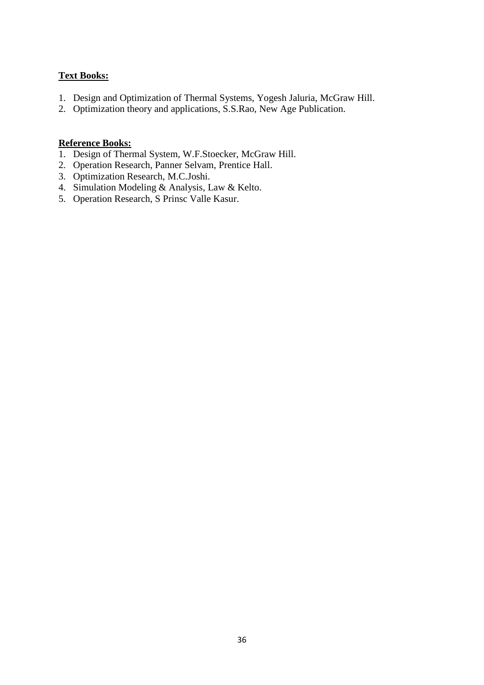# **Text Books:**

- 1. Design and Optimization of Thermal Systems, Yogesh Jaluria, McGraw Hill.
- 2. Optimization theory and applications, S.S.Rao, New Age Publication.

- 1. Design of Thermal System, W.F.Stoecker, McGraw Hill.
- 2. Operation Research, Panner Selvam, Prentice Hall.
- 3. Optimization Research, M.C.Joshi.
- 4. Simulation Modeling & Analysis, Law & Kelto.
- 5. Operation Research, S Prinsc Valle Kasur.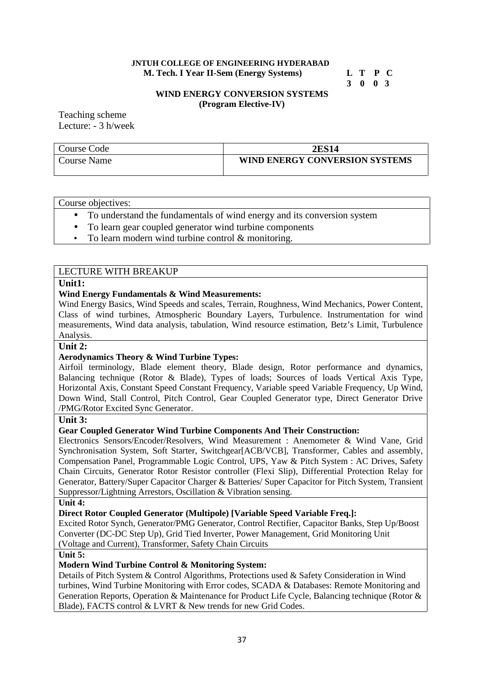#### **JNTUH COLLEGE OF ENGINEERING HYDERABAD M. Tech. I Year II-Sem (Energy Systems) L T P C**

# **3 0 0 3**

#### **WIND ENERGY CONVERSION SYSTEMS (Program Elective-IV)**

Teaching scheme Lecture: - 3 h/week

| Course Code | 2ES14                          |
|-------------|--------------------------------|
| Course Name | WIND ENERGY CONVERSION SYSTEMS |

#### Course objectives:

- To understand the fundamentals of wind energy and its conversion system
- To learn gear coupled generator wind turbine components
- To learn modern wind turbine control & monitoring.

### LECTURE WITH BREAKUP

#### **Unit1:**

#### **Wind Energy Fundamentals & Wind Measurements:**

Wind Energy Basics, Wind Speeds and scales, Terrain, Roughness, Wind Mechanics, Power Content, Class of wind turbines, Atmospheric Boundary Layers, Turbulence. Instrumentation for wind measurements, Wind data analysis, tabulation, Wind resource estimation, Betz's Limit, Turbulence Analysis.

#### **Unit 2:**

#### **Aerodynamics Theory & Wind Turbine Types:**

Airfoil terminology, Blade element theory, Blade design, Rotor performance and dynamics, Balancing technique (Rotor & Blade), Types of loads; Sources of loads Vertical Axis Type, Horizontal Axis, Constant Speed Constant Frequency, Variable speed Variable Frequency, Up Wind, Down Wind, Stall Control, Pitch Control, Gear Coupled Generator type, Direct Generator Drive /PMG/Rotor Excited Sync Generator.

#### **Unit 3:**

#### **Gear Coupled Generator Wind Turbine Components And Their Construction:**

Electronics Sensors/Encoder/Resolvers, Wind Measurement : Anemometer & Wind Vane, Grid Synchronisation System, Soft Starter, Switchgear[ACB/VCB], Transformer, Cables and assembly, Compensation Panel, Programmable Logic Control, UPS, Yaw & Pitch System : AC Drives, Safety Chain Circuits, Generator Rotor Resistor controller (Flexi Slip), Differential Protection Relay for Generator, Battery/Super Capacitor Charger & Batteries/ Super Capacitor for Pitch System, Transient Suppressor/Lightning Arrestors, Oscillation & Vibration sensing.

#### **Unit 4:**

#### **Direct Rotor Coupled Generator (Multipole) [Variable Speed Variable Freq.]:**

Excited Rotor Synch, Generator/PMG Generator, Control Rectifier, Capacitor Banks, Step Up/Boost Converter (DC-DC Step Up), Grid Tied Inverter, Power Management, Grid Monitoring Unit (Voltage and Current), Transformer, Safety Chain Circuits

**Unit 5:**

#### **Modern Wind Turbine Control & Monitoring System:**

Details of Pitch System & Control Algorithms, Protections used & Safety Consideration in Wind turbines, Wind Turbine Monitoring with Error codes, SCADA & Databases: Remote Monitoring and Generation Reports, Operation & Maintenance for Product Life Cycle, Balancing technique (Rotor & Blade), FACTS control & LVRT & New trends for new Grid Codes.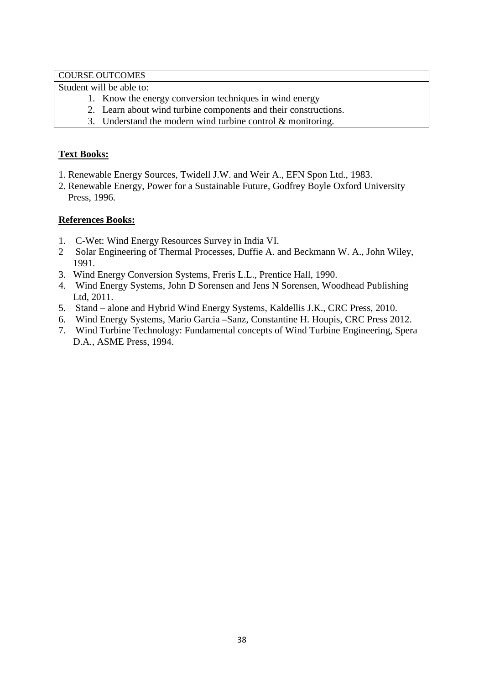COURSE OUTCOMES

Student will be able to:

- 1. Know the energy conversion techniques in wind energy
- 2. Learn about wind turbine components and their constructions.
- 3. Understand the modern wind turbine control & monitoring.

# **Text Books:**

- 1. Renewable Energy Sources, Twidell J.W. and Weir A., EFN Spon Ltd., 1983.
- 2. Renewable Energy, Power for a Sustainable Future, Godfrey Boyle Oxford University Press, 1996.

- 1. C-Wet: Wind Energy Resources Survey in India VI.
- 2 Solar Engineering of Thermal Processes, Duffie A. and Beckmann W. A., John Wiley, 1991.
- 3. Wind Energy Conversion Systems, Freris L.L., Prentice Hall, 1990.
- 4. Wind Energy Systems, John D Sorensen and Jens N Sorensen, Woodhead Publishing Ltd, 2011.
- 5. Stand alone and Hybrid Wind Energy Systems, Kaldellis J.K., CRC Press, 2010.
- 6. Wind Energy Systems, Mario Garcia –Sanz, Constantine H. Houpis, CRC Press 2012.
- 7. Wind Turbine Technology: Fundamental concepts of Wind Turbine Engineering, Spera D.A., ASME Press, 1994.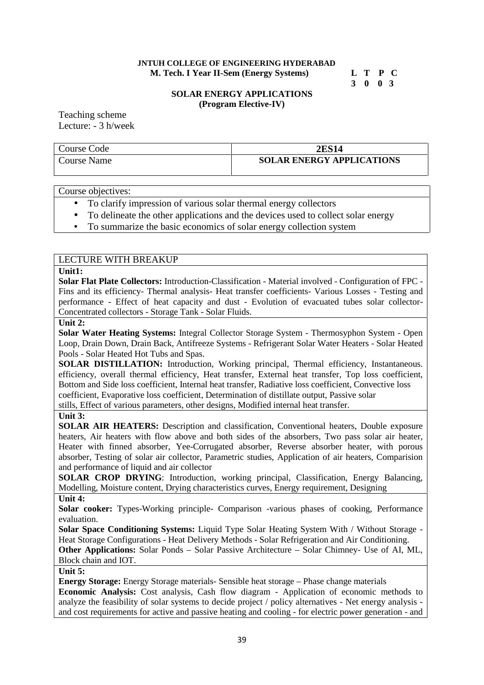#### **JNTUH COLLEGE OF ENGINEERING HYDERABAD M. Tech. I Year II-Sem (Energy Systems) L T P C**

# **3 0 0 3**

#### **SOLAR ENERGY APPLICATIONS (Program Elective-IV)**

Teaching scheme Lecture: - 3 h/week

# Course Code **2ES14** Course Name **SOLAR ENERGY APPLICATIONS**

Course objectives:

- To clarify impression of various solar thermal energy collectors
- To delineate the other applications and the devices used to collect solar energy
- To summarize the basic economics of solar energy collection system

# LECTURE WITH BREAKUP

#### **Unit1:**

**Solar Flat Plate Collectors:** Introduction-Classification - Material involved - Configuration of FPC - Fins and its efficiency- Thermal analysis- Heat transfer coefficients- Various Losses - Testing and performance -Effect of heat capacity and dust - Evolution of evacuated tubes solar collector- Concentrated collectors - Storage Tank - Solar Fluids.

#### **Unit 2:**

**Solar Water Heating Systems:** Integral Collector Storage System - Thermosyphon System - Open Loop, Drain Down, Drain Back, Antifreeze Systems - Refrigerant Solar Water Heaters - Solar Heated Pools - Solar Heated Hot Tubs and Spas.

**SOLAR DISTILLATION:** Introduction, Working principal, Thermal efficiency, Instantaneous. efficiency, overall thermal efficiency, Heat transfer, External heat transfer, Top loss coefficient, Bottom and Side loss coefficient, Internal heat transfer, Radiative loss coefficient, Convective loss coefficient, Evaporative loss coefficient, Determination of distillate output, Passive solar

stills, Effect of various parameters, other designs, Modified internal heat transfer.

# **Unit 3:**

**SOLAR AIR HEATERS:** Description and classification, Conventional heaters, Double exposure heaters, Air heaters with flow above and both sides of the absorbers, Two pass solar air heater, Heater with finned absorber, Yee-Corrugated absorber, Reverse absorber heater, with porous absorber, Testing of solar air collector, Parametric studies, Application of air heaters, Comparision and performance of liquid and air collector

**SOLAR CROP DRYING**: Introduction, working principal, Classification, Energy Balancing, Modelling, Moisture content, Drying characteristics curves, Energy requirement, Designing

# **Unit 4:**

**Solar cooker:** Types-Working principle- Comparison -various phases of cooking, Performance evaluation.

**Solar Space Conditioning Systems:** Liquid Type Solar Heating System With / Without Storage - Heat Storage Configurations - Heat Delivery Methods - Solar Refrigeration and Air Conditioning. **Other Applications:** Solar Ponds – Solar Passive Architecture – Solar Chimney- Use of AI, ML,

Block chain and IOT.

#### **Unit 5:**

**Energy Storage:** Energy Storage materials- Sensible heat storage – Phase change materials **Economic Analysis:** Cost analysis, Cash flow diagram - Application of economic methods to analyze the feasibility of solar systems to decide project / policy alternatives - Net energy analysis and cost requirements for active and passive heating and cooling - for electric power generation - and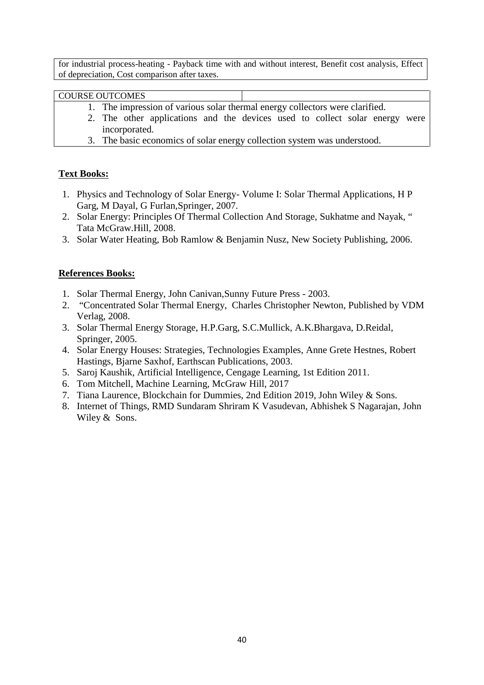for industrial process-heating - Payback time with and without interest, Benefit cost analysis, Effect of depreciation, Cost comparison after taxes.

# COURSE OUTCOMES

- 1. The impression of various solar thermal energy collectors were clarified.
- 2. The other applications and the devices used to collect solar energy were incorporated.
- 3. The basic economics of solar energy collection system was understood.

# **Text Books:**

- 1. Physics and Technology of Solar Energy- Volume I: Solar Thermal Applications, H P Garg, M Dayal, G Furlan,Springer, 2007.
- 2. Solar Energy: Principles Of Thermal Collection And Storage, Sukhatme and Nayak, " Tata McGraw.Hill, 2008.
- 3. Solar Water Heating, Bob Ramlow & Benjamin Nusz, New Society Publishing, 2006.

- 1. Solar Thermal Energy, John Canivan,Sunny Future Press 2003.
- 2. "Concentrated Solar Thermal Energy, Charles Christopher Newton, Published by VDM Verlag, 2008.
- 3. Solar Thermal Energy Storage, H.P.Garg, S.C.Mullick, A.K.Bhargava, D.Reidal, Springer, 2005.
- 4. Solar Energy Houses: Strategies, Technologies Examples, Anne Grete Hestnes, Robert Hastings, Bjarne Saxhof, Earthscan Publications, 2003.
- 5. Saroj Kaushik, Artificial Intelligence, Cengage Learning, 1st Edition 2011.
- 6. Tom Mitchell, Machine Learning, McGraw Hill, 2017
- 7. Tiana Laurence, Blockchain for Dummies, 2nd Edition 2019, John Wiley & Sons.
- 8. Internet of Things, RMD Sundaram Shriram K Vasudevan, Abhishek S Nagarajan, John Wiley & Sons.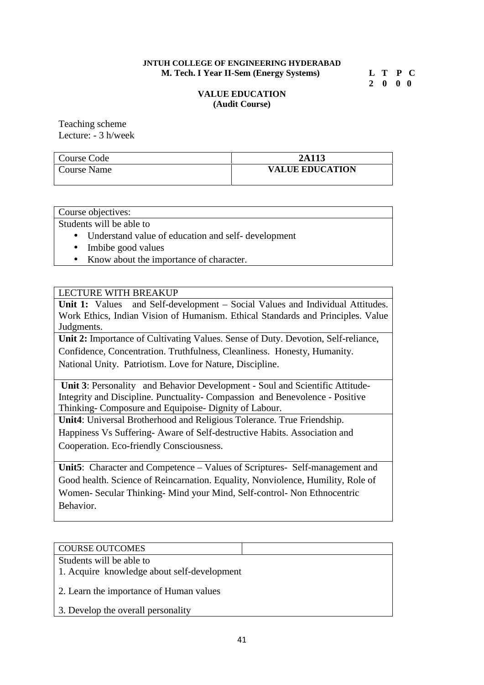#### **JNTUH COLLEGE OF ENGINEERING HYDERABAD M. Tech. I Year II-Sem (Energy Systems) L T P C**

**2 0 0 0**

### **VALUE EDUCATION (Audit Course)**

Teaching scheme Lecture: - 3 h/week

| Course Code | 2A113                  |
|-------------|------------------------|
| Course Name | <b>VALUE EDUCATION</b> |

Course objectives:

Students will be able to

- Understand value of education and self- development
- Imbibe good values
- Know about the importance of character.

# LECTURE WITH BREAKUP

Unit 1: Values and Self-development – Social Values and Individual Attitudes. Work Ethics, Indian Vision of Humanism. Ethical Standards and Principles. Value Judgments.

**Unit 2:** Importance of Cultivating Values. Sense of Duty. Devotion, Self-reliance,

Confidence, Concentration. Truthfulness, Cleanliness. Honesty, Humanity.

National Unity. Patriotism. Love for Nature, Discipline.

**Unit 3**: Personality and Behavior Development - Soul and Scientific Attitude-Integrity and Discipline. Punctuality- Compassion and Benevolence - Positive Thinking- Composure and Equipoise- Dignity of Labour.

**Unit4**: Universal Brotherhood and Religious Tolerance. True Friendship. Happiness Vs Suffering- Aware of Self-destructive Habits. Association and Cooperation. Eco-friendly Consciousness.

**Unit5**: Character and Competence – Values of Scriptures- Self-management and Good health. Science of Reincarnation. Equality, Nonviolence, Humility, Role of Women- Secular Thinking- Mind your Mind, Self-control- Non Ethnocentric Behavior.

# COURSE OUTCOMES

- Students will be able to
- 1. Acquire knowledge about self-development
- 2. Learn the importance of Human values
- 3. Develop the overall personality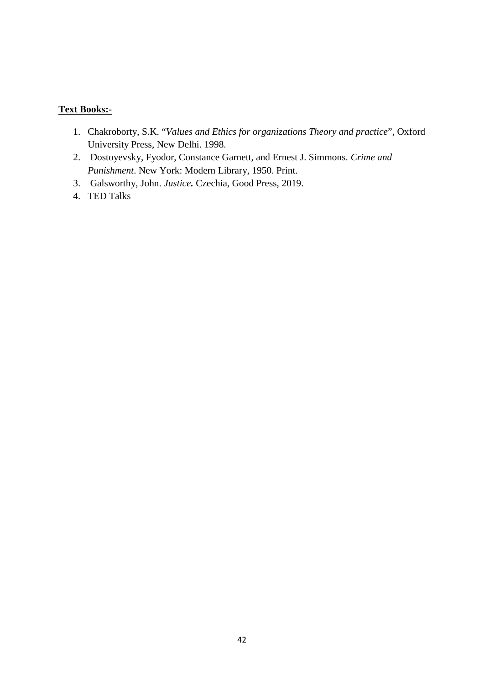# **Text Books:-**

- 1. Chakroborty, S.K. "*Values and Ethics for organizations Theory and practice*", Oxford University Press, New Delhi. 1998.
- 2. Dostoyevsky, Fyodor, Constance Garnett, and Ernest J. Simmons. *Crime and Punishment*. New York: Modern Library, 1950. Print.
- 3. Galsworthy, John. *Justice.* Czechia, Good Press, 2019.
- 4. TED Talks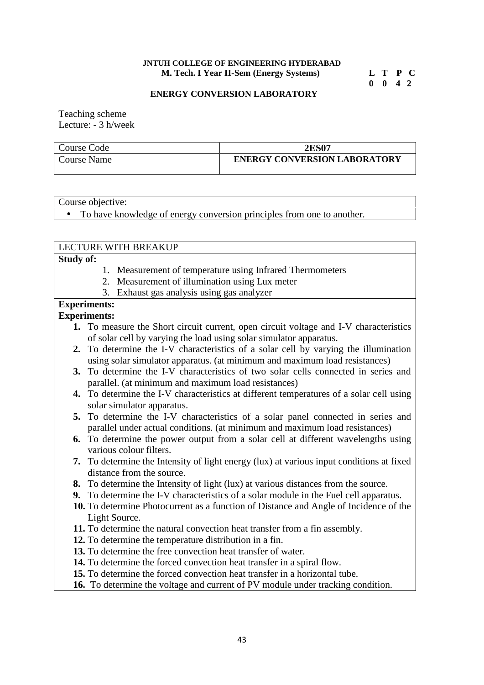#### **JNTUH COLLEGE OF ENGINEERING HYDERABAD M. Tech. I Year II-Sem (Energy Systems) L T P C**

**0 0 4 2**

#### **ENERGY CONVERSION LABORATORY**

Teaching scheme Lecture: - 3 h/week

| Course Code | <b>2ES07</b>                        |
|-------------|-------------------------------------|
| Course Name | <b>ENERGY CONVERSION LABORATORY</b> |

Course objective:

To have knowledge of energy conversion principles from one to another.

#### LECTURE WITH BREAKUP

#### **Study of:**

- 1. Measurement of temperature using Infrared Thermometers
- 2. Measurement of illumination using Lux meter
- 3. Exhaust gas analysis using gas analyzer

# **Experiments:**

#### **Experiments:**

- **1.** To measure the Short circuit current, open circuit voltage and I-V characteristics of solar cell by varying the load using solar simulator apparatus.
- **2.** To determine the I-V characteristics of a solar cell by varying the illumination using solar simulator apparatus. (at minimum and maximum load resistances)
- **3.** To determine the I-V characteristics of two solar cells connected in series and parallel. (at minimum and maximum load resistances)
- **4.** To determine the I-V characteristics at different temperatures of a solar cell using solar simulator apparatus.
- **5.** To determine the I-V characteristics of a solar panel connected in series and parallel under actual conditions. (at minimum and maximum load resistances)
- **6.** To determine the power output from a solar cell at different wavelengths using various colour filters.
- **7.** To determine the Intensity of light energy (lux) at various input conditions at fixed distance from the source.
- **8.** To determine the Intensity of light (lux) at various distances from the source.
- **9.** To determine the I-V characteristics of a solar module in the Fuel cell apparatus.
- **10.** To determine Photocurrent as a function of Distance and Angle of Incidence of the Light Source.
- **11.** To determine the natural convection heat transfer from a fin assembly.
- **12.** To determine the temperature distribution in a fin.
- **13.** To determine the free convection heat transfer of water.
- **14.** To determine the forced convection heat transfer in a spiral flow.
- **15.** To determine the forced convection heat transfer in a horizontal tube.
- **16.** To determine the voltage and current of PV module under tracking condition.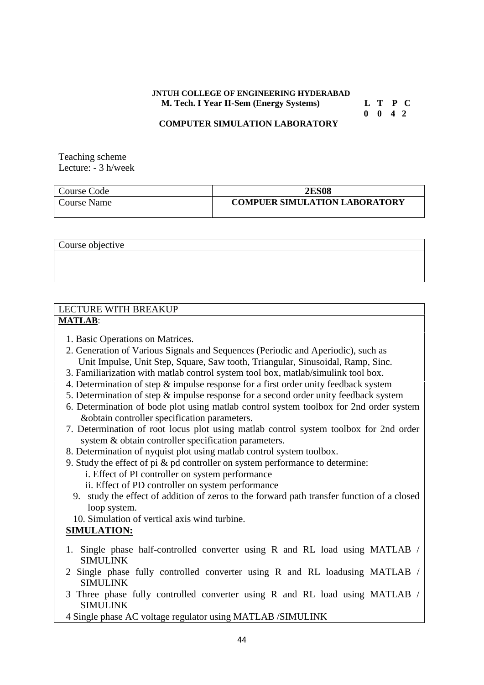# **JNTUH COLLEGE OF ENGINEERING HYDERABAD M. Tech. I Year II-Sem (Energy Systems) L T P C**

**0 0 4 2**

#### **COMPUTER SIMULATION LABORATORY**

Teaching scheme Lecture: - 3 h/week

| Course Code | <b>2ES08</b>                         |
|-------------|--------------------------------------|
| Course Name | <b>COMPUER SIMULATION LABORATORY</b> |

Course objective

# LECTURE WITH BREAKUP **MATLAB**:

- 1. Basic Operations on Matrices.
- 2. Generation of Various Signals and Sequences (Periodic and Aperiodic), such as Unit Impulse, Unit Step, Square, Saw tooth, Triangular, Sinusoidal, Ramp, Sinc.
- 3. Familiarization with matlab control system tool box, matlab/simulink tool box.
- 4. Determination of step & impulse response for a first order unity feedback system
- 5. Determination of step & impulse response for a second order unity feedback system
- 6. Determination of bode plot using matlab control system toolbox for 2nd order system &obtain controller specification parameters.
- 7. Determination of root locus plot using matlab control system toolbox for 2nd order system & obtain controller specification parameters.
- 8. Determination of nyquist plot using matlab control system toolbox.
- 9. Study the effect of pi & pd controller on system performance to determine:
	- i. Effect of PI controller on system performance
	- ii. Effect of PD controller on system performance
	- 9. study the effect of addition of zeros to the forward path transfer function of a closed loop system.
	- 10. Simulation of vertical axis wind turbine.

# **SIMULATION:**

- 1. Single phase half-controlled converter using R and RL load using MATLAB / SIMULINK
- 2 Single phase fully controlled converter using R and RL loadusing MATLAB / SIMULINK
- 3 Three phase fully controlled converter using R and RL load using MATLAB / SIMULINK
- 4 Single phase AC voltage regulator using MATLAB /SIMULINK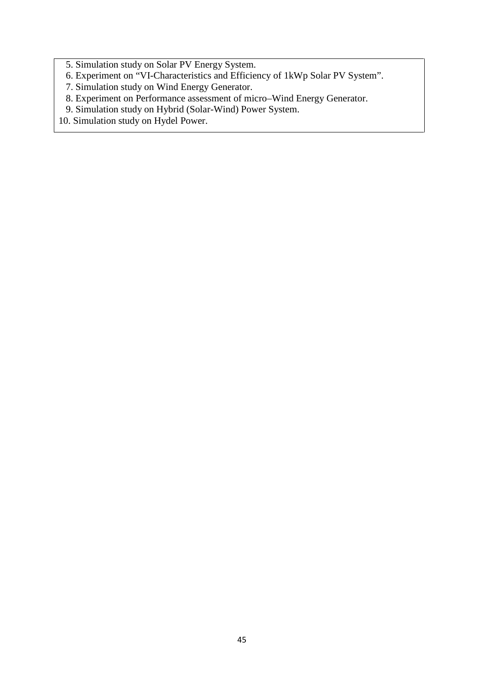- 5. Simulation study on Solar PV Energy System.
- 6. Experiment on "VI-Characteristics and Efficiency of 1kWp Solar PV System".
- 7. Simulation study on Wind Energy Generator.
- 8. Experiment on Performance assessment of micro–Wind Energy Generator.
- 9. Simulation study on Hybrid (Solar-Wind) Power System.
- 10. Simulation study on Hydel Power.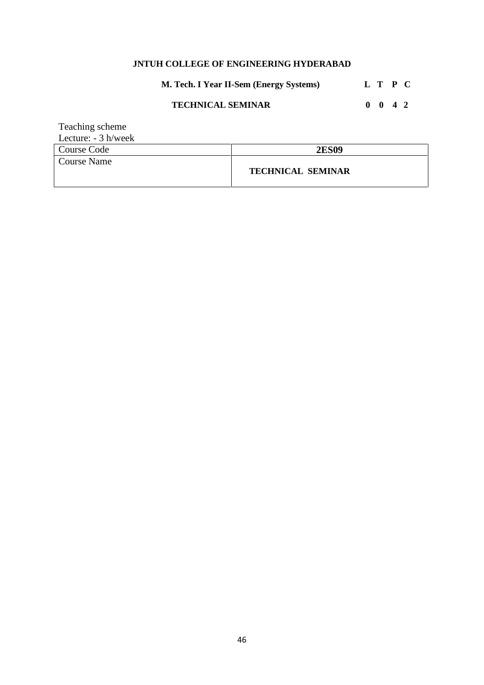# **JNTUH COLLEGE OF ENGINEERING HYDERABAD**

**M. Tech. I Year II-Sem (Energy Systems) L T P C**

# **TECHNICAL SEMINAR 0 0 4 2**

| Teaching scheme       |                          |
|-----------------------|--------------------------|
| Lecture: $-3 h/$ week |                          |
| Course Code           | <b>2ES09</b>             |
| <b>Course Name</b>    |                          |
|                       | <b>TECHNICAL SEMINAR</b> |
|                       |                          |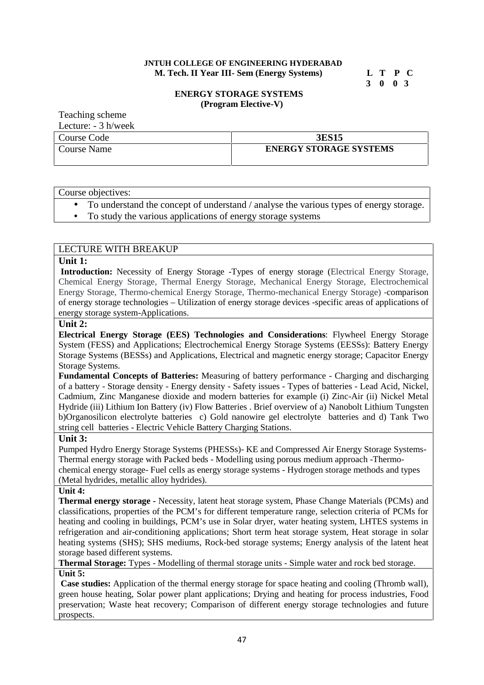### **JNTUH COLLEGE OF ENGINEERING HYDERABAD M. Tech. II Year III- Sem (Energy Systems) L T P C**

**3 0 0 3**

#### **ENERGY STORAGE SYSTEMS (Program Elective-V)**

Teaching scheme

| Lecture: $-3$ h/week |                               |
|----------------------|-------------------------------|
| Course Code          | <b>3ES15</b>                  |
| Course Name          | <b>ENERGY STORAGE SYSTEMS</b> |
|                      |                               |

Course objectives:

- To understand the concept of understand / analyse the various types of energy storage.
- To study the various applications of energy storage systems

# LECTURE WITH BREAKUP

#### **Unit 1:**

Introduction: Necessity of Energy Storage -Types of energy storage (Electrical Energy Storage, Chemical Energy Storage, Thermal Energy Storage, Mechanical Energy Storage, Electrochemical Energy Storage, Thermo-chemical Energy Storage, Thermo-mechanical Energy Storage) -comparison of energy storage technologies – Utilization of energy storage devices -specific areas of applications of energy storage system-Applications.

# **Unit 2:**

**Electrical Energy Storage (EES) Technologies and Considerations**: Flywheel Energy Storage System (FESS) and Applications; Electrochemical Energy Storage Systems (EESSs): Battery Energy Storage Systems (BESSs) and Applications, Electrical and magnetic energy storage; Capacitor Energy Storage Systems.

**Fundamental Concepts of Batteries:** Measuring of battery performance - Charging and discharging of a battery - Storage density - Energy density - Safety issues - Types of batteries - Lead Acid, Nickel, Cadmium, Zinc Manganese dioxide and modern batteries for example (i) Zinc-Air (ii) Nickel Metal Hydride (iii) Lithium Ion Battery (iv) Flow Batteries . Brief overview of a) Nanobolt Lithium Tungsten b)Organosilicon electrolyte batteries c) Gold nanowire gel electrolyte batteries and d) Tank Two string cell batteries - Electric Vehicle Battery Charging Stations.

#### **Unit 3:**

Pumped Hydro Energy Storage Systems (PHESSs)- KE and Compressed Air Energy Storage Systems- Thermal energy storage with Packed beds - Modelling using porous medium approach -Thermo chemical energy storage- Fuel cells as energy storage systems - Hydrogen storage methods and types (Metal hydrides, metallic alloy hydrides).

**Unit 4:**

**Thermal energy storage -** Necessity, latent heat storage system, Phase Change Materials (PCMs) and classifications, properties of the PCM's for different temperature range, selection criteria of PCMs for heating and cooling in buildings, PCM's use in Solar dryer, water heating system, LHTES systems in refrigeration and air-conditioning applications; Short term heat storage system, Heat storage in solar heating systems (SHS); SHS mediums, Rock-bed storage systems; Energy analysis of the latent heat storage based different systems.

**Thermal Storage:** Types - Modelling of thermal storage units - Simple water and rock bed storage. **Unit 5:**

**Case studies:** Application of the thermal energy storage for space heating and cooling (Thromb wall), green house heating, Solar power plant applications; Drying and heating for process industries, Food preservation; Waste heat recovery; Comparison of different energy storage technologies and future prospects.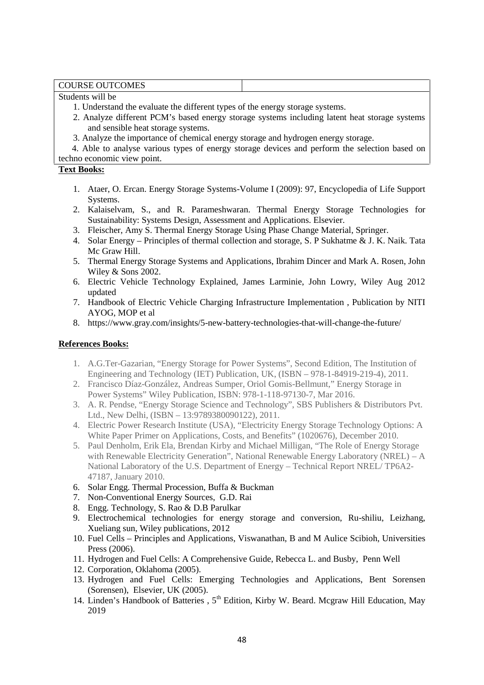#### COURSE OUTCOMES

#### Students will be

- 1. Understand the evaluate the different types of the energy storage systems.
- 2. Analyze different PCM's based energy storage systems including latent heat storage systems and sensible heat storage systems.
- 3. Analyze the importance of chemical energy storage and hydrogen energy storage.

4. Able to analyse various types of energy storage devices and perform the selection based on techno economic view point.

### **Text Books:**

- 1. Ataer, O. Ercan. Energy Storage Systems-Volume I (2009): 97, Encyclopedia of Life Support Systems.
- 2. Kalaiselvam, S., and R. Parameshwaran. Thermal Energy Storage Technologies for Sustainability: Systems Design, Assessment and Applications. Elsevier.
- 3. Fleischer, Amy S. Thermal Energy Storage Using Phase Change Material, Springer.
- 4. Solar Energy Principles of thermal collection and storage, S. P Sukhatme & J. K. Naik. Tata Mc Graw Hill.
- 5. Thermal Energy Storage Systems and Applications, Ibrahim Dincer and Mark A. Rosen, John Wiley & Sons 2002.
- 6. Electric Vehicle Technology Explained, James Larminie, John Lowry, Wiley Aug 2012 updated
- 7. Handbook of Electric Vehicle Charging Infrastructure Implementation , Publication by NITI AYOG, MOP et al
- 8. https://www.gray.com/insights/5-new-battery-technologies-that-will-change-the-future/

- 1. A.G.Ter-Gazarian, "Energy Storage for Power Systems", Second Edition, The Institution of Engineering and Technology (IET) Publication, UK, (ISBN – 978-1-84919-219-4), 2011.
- 2. Francisco Díaz-González, Andreas Sumper, Oriol Gomis-Bellmunt," Energy Storage in Power Systems" Wiley Publication, ISBN: 978-1-118-97130-7, Mar 2016.
- 3. A. R. Pendse, "Energy Storage Science and Technology", SBS Publishers & Distributors Pvt. Ltd., New Delhi, (ISBN – 13:9789380090122), 2011.
- 4. Electric Power Research Institute (USA), "Electricity Energy Storage Technology Options: A White Paper Primer on Applications, Costs, and Benefits" (1020676), December 2010.
- 5. Paul Denholm, Erik Ela, Brendan Kirby and Michael Milligan, "The Role of Energy Storage with Renewable Electricity Generation", National Renewable Energy Laboratory (NREL) – A National Laboratory of the U.S. Department of Energy – Technical Report NREL/ TP6A2- 47187, January 2010.
- 6. Solar Engg. Thermal Procession, Buffa & Buckman
- 7. Non-Conventional Energy Sources, G.D. Rai
- 8. Engg. Technology, S. Rao & D.B Parulkar
- 9. Electrochemical technologies for energy storage and conversion, Ru-shiliu, Leizhang, Xueliang sun, Wiley publications, 2012
- 10. Fuel Cells Principles and Applications, Viswanathan, B and M Aulice Scibioh, Universities Press (2006).
- 11. Hydrogen and Fuel Cells: A Comprehensive Guide, Rebecca L. and Busby, Penn Well
- 12. Corporation, Oklahoma (2005).
- 13. Hydrogen and Fuel Cells: Emerging Technologies and Applications, Bent Sorensen (Sorensen), Elsevier, UK (2005).
- 14. Linden's Handbook of Batteries , 5<sup>th</sup> Edition, Kirby W. Beard. Mcgraw Hill Education, May 2019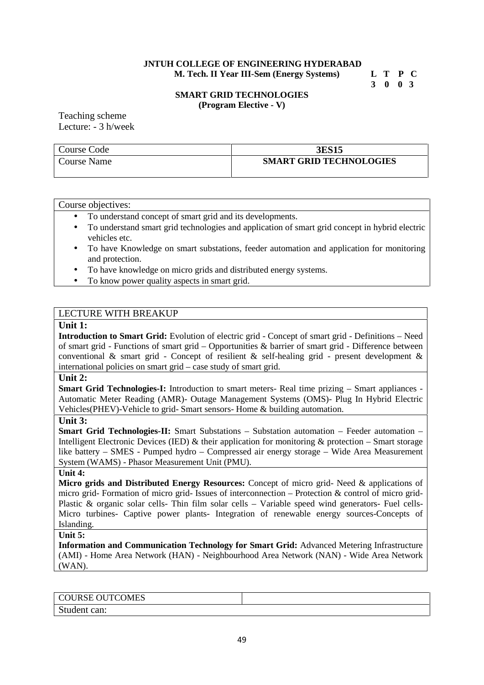#### **JNTUH COLLEGE OF ENGINEERING HYDERABAD M. Tech. II Year III-Sem (Energy Systems) L T P C**

**3 0 0 3**

#### **SMART GRID TECHNOLOGIES (Program Elective - V)**

Teaching scheme Lecture: - 3 h/week

| Course Code        | <b>3ES15</b>                   |
|--------------------|--------------------------------|
| <b>Course Name</b> | <b>SMART GRID TECHNOLOGIES</b> |

#### Course objectives:

- To understand concept of smart grid and its developments.
- To understand smart grid technologies and application of smart grid concept in hybrid electric vehicles etc.
- To have Knowledge on smart substations, feeder automation and application for monitoring and protection.
- To have knowledge on micro grids and distributed energy systems.
- To know power quality aspects in smart grid.

#### LECTURE WITH BREAKUP

### **Unit 1:**

**Introduction to Smart Grid:** Evolution of electric grid - Concept of smart grid - Definitions – Need of smart grid - Functions of smart grid – Opportunities & barrier of smart grid - Difference between conventional  $\&$  smart grid - Concept of resilient  $\&$  self-healing grid - present development  $\&$ international policies on smart grid – case study of smart grid.

#### **Unit 2:**

**Smart Grid Technologies-I:** Introduction to smart meters- Real time prizing – Smart appliances - Automatic Meter Reading (AMR)- Outage Management Systems (OMS)- Plug In Hybrid Electric Vehicles(PHEV)-Vehicle to grid- Smart sensors- Home & building automation.

#### **Unit 3:**

**Smart Grid Technologies-II:** Smart Substations – Substation automation – Feeder automation – Intelligent Electronic Devices (IED)  $\&$  their application for monitoring  $\&$  protection – Smart storage like battery – SMES - Pumped hydro – Compressed air energy storage – Wide Area Measurement System (WAMS) - Phasor Measurement Unit (PMU).

#### **Unit 4:**

**Micro grids and Distributed Energy Resources:** Concept of micro grid- Need & applications of micro grid- Formation of micro grid- Issues of interconnection – Protection & control of micro grid- Plastic & organic solar cells- Thin film solar cells – Variable speed wind generators- Fuel cells-Micro turbines- Captive power plants- Integration of renewable energy sources-Concepts of Islanding.

#### **Unit 5:**

**Information and Communication Technology for Smart Grid:** Advanced Metering Infrastructure (AMI) - Home Area Network (HAN) - Neighbourhood Area Network (NAN) - Wide Area Network (WAN).

COURSE OUTCOMES Student can: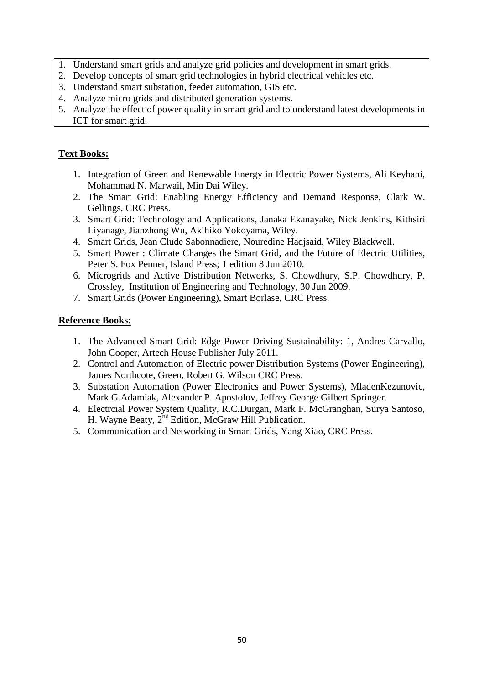- 1. Understand smart grids and analyze grid policies and development in smart grids.
- 2. Develop concepts of smart grid technologies in hybrid electrical vehicles etc.
- 3. Understand smart substation, feeder automation, GIS etc.
- 4. Analyze micro grids and distributed generation systems.
- 5. Analyze the effect of power quality in smart grid and to understand latest developments in ICT for smart grid.

# **Text Books:**

- 1. Integration of Green and Renewable Energy in Electric Power Systems, Ali Keyhani, Mohammad N. Marwail, Min Dai Wiley.
- 2. The Smart Grid: Enabling Energy Efficiency and Demand Response, Clark W. Gellings, CRC Press.
- 3. Smart Grid: Technology and Applications, Janaka Ekanayake, Nick Jenkins, Kithsiri Liyanage, Jianzhong Wu, Akihiko Yokoyama, Wiley.
- 4. Smart Grids, Jean Clude Sabonnadiere, Nouredine Hadjsaid, Wiley Blackwell.
- 5. Smart Power : Climate Changes the Smart Grid, and the Future of Electric Utilities, Peter S. Fox Penner, Island Press; 1 edition 8 Jun 2010.
- 6. Microgrids and Active Distribution Networks, S. Chowdhury, S.P. Chowdhury, P. Crossley, Institution of Engineering and Technology, 30 Jun 2009.
- 7. Smart Grids (Power Engineering), Smart Borlase, CRC Press.

- 1. The Advanced Smart Grid: Edge Power Driving Sustainability: 1, Andres Carvallo, John Cooper, Artech House Publisher July 2011.
- 2. Control and Automation of Electric power Distribution Systems (Power Engineering), James Northcote, Green, Robert G. Wilson CRC Press.
- 3. Substation Automation (Power Electronics and Power Systems), MladenKezunovic, Mark G.Adamiak, Alexander P. Apostolov, Jeffrey George Gilbert Springer.
- 4. Electrcial Power System Quality, R.C.Durgan, Mark F. McGranghan, Surya Santoso, H. Wayne Beaty, 2<sup>nd</sup> Edition, McGraw Hill Publication.
- 5. Communication and Networking in Smart Grids, Yang Xiao, CRC Press.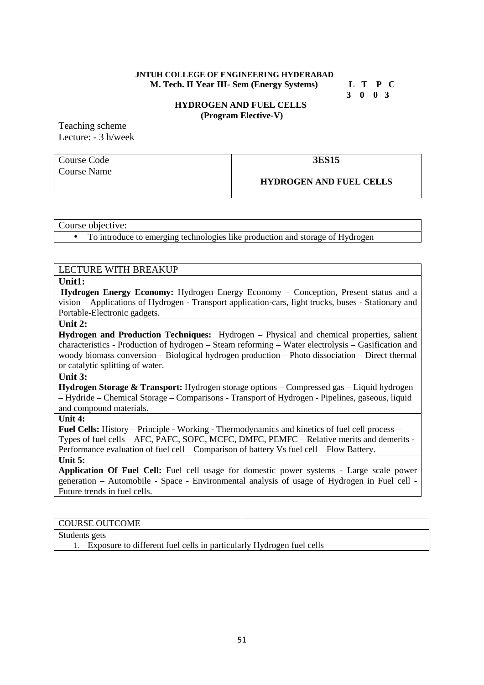#### **JNTUH COLLEGE OF ENGINEERING HYDERABAD M. Tech. II Year III- Sem (Energy Systems) L T P C**

**3 0 0 3**

#### **HYDROGEN AND FUEL CELLS (Program Elective-V)**

Teaching scheme Lecture: - 3 h/week

| Course Code | <b>3ES15</b>                   |
|-------------|--------------------------------|
| Course Name | <b>HYDROGEN AND FUEL CELLS</b> |

Course objective:

To introduce to emerging technologies like production and storage of Hydrogen

#### LECTURE WITH BREAKUP

# **Unit1:**

**Hydrogen Energy Economy:** Hydrogen Energy Economy – Conception, Present status and a vision – Applications of Hydrogen - Transport application-cars, light trucks, buses - Stationary and Portable-Electronic gadgets.

#### **Unit 2:**

**Hydrogen and Production Techniques:** Hydrogen – Physical and chemical properties, salient characteristics - Production of hydrogen – Steam reforming – Water electrolysis – Gasification and woody biomass conversion – Biological hydrogen production – Photo dissociation – Direct thermal or catalytic splitting of water.

# **Unit 3:**

**Hydrogen Storage & Transport:** Hydrogen storage options – Compressed gas – Liquid hydrogen – Hydride – Chemical Storage – Comparisons - Transport of Hydrogen - Pipelines, gaseous, liquid and compound materials.

#### **Unit 4:**

**Fuel Cells:** History – Principle - Working - Thermodynamics and kinetics of fuel cell process – Types of fuel cells – AFC, PAFC, SOFC, MCFC, DMFC, PEMFC – Relative merits and demerits - Performance evaluation of fuel cell – Comparison of battery Vs fuel cell – Flow Battery.

#### **Unit 5:**

**Application Of Fuel Cell:** Fuel cell usage for domestic power systems - Large scale power generation – Automobile -Space - Environmental analysis of usage of Hydrogen in Fuel cell - Future trends in fuel cells.

#### COURSE OUTCOME

Students gets

1. Exposure to different fuel cells in particularly Hydrogen fuel cells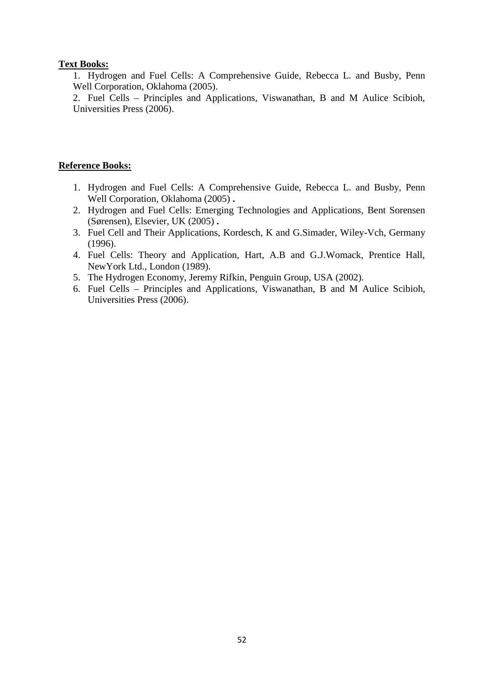# **Text Books:**

1. Hydrogen and Fuel Cells: A Comprehensive Guide, Rebecca L. and Busby, Penn Well Corporation, Oklahoma (2005).

2. Fuel Cells – Principles and Applications, Viswanathan, B and M Aulice Scibioh, Universities Press (2006).

- 1. Hydrogen and Fuel Cells: A Comprehensive Guide, Rebecca L. and Busby, Penn Well Corporation, Oklahoma (2005) **.**
- 2. Hydrogen and Fuel Cells: Emerging Technologies and Applications, Bent Sorensen (Sørensen), Elsevier, UK (2005) **.**
- 3. Fuel Cell and Their Applications, Kordesch, K and G.Simader, Wiley-Vch, Germany (1996).
- 4. Fuel Cells: Theory and Application, Hart, A.B and G.J.Womack, Prentice Hall, NewYork Ltd., London (1989).
- 5. The Hydrogen Economy, Jeremy Rifkin, Penguin Group, USA (2002).
- 6. Fuel Cells Principles and Applications, Viswanathan, B and M Aulice Scibioh, Universities Press (2006).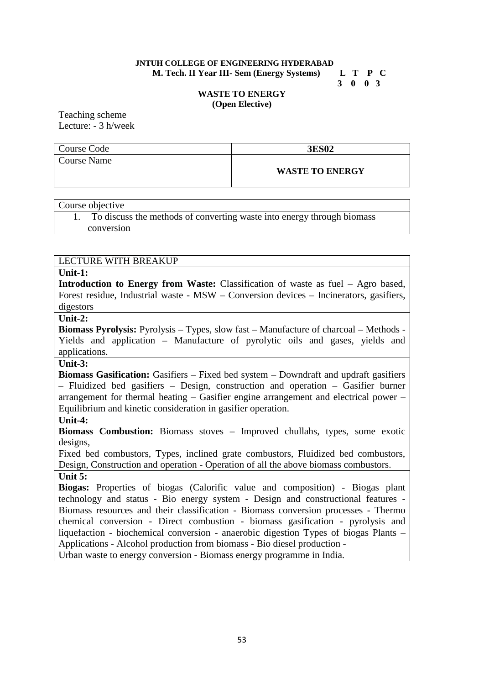#### **JNTUH COLLEGE OF ENGINEERING HYDERABAD M. Tech. II Year III- Sem (Energy Systems) L T P C**

**3 0 0 3**

#### **WASTE TO ENERGY (Open Elective)**

Teaching scheme Lecture: - 3 h/week

| Course Code | <b>3ES02</b>           |
|-------------|------------------------|
| Course Name |                        |
|             | <b>WASTE TO ENERGY</b> |

Course objective

1. To discuss the methods of converting waste into energy through biomass conversion

# LECTURE WITH BREAKUP

#### **Unit-1:**

**Introduction to Energy from Waste:** Classification of waste as fuel – Agro based, Forest residue, Industrial waste - MSW – Conversion devices – Incinerators, gasifiers, digestors

# **Unit-2:**

**Biomass Pyrolysis:** Pyrolysis – Types, slow fast – Manufacture of charcoal – Methods - Yields and application – Manufacture of pyrolytic oils and gases, yields and applications.

# **Unit-3:**

**Biomass Gasification:** Gasifiers – Fixed bed system – Downdraft and updraft gasifiers – Fluidized bed gasifiers – Design, construction and operation – Gasifier burner arrangement for thermal heating – Gasifier engine arrangement and electrical power – Equilibrium and kinetic consideration in gasifier operation.

# **Unit-4:**

**Biomass Combustion:** Biomass stoves – Improved chullahs, types, some exotic designs,

Fixed bed combustors, Types, inclined grate combustors, Fluidized bed combustors, Design, Construction and operation - Operation of all the above biomass combustors. **Unit 5:**

**Biogas:** Properties of biogas (Calorific value and composition) - Biogas plant technology and status - Bio energy system - Design and constructional features - Biomass resources and their classification - Biomass conversion processes - Thermo chemical conversion - Direct combustion - biomass gasification - pyrolysis and liquefaction - biochemical conversion - anaerobic digestion Types of biogas Plants – Applications - Alcohol production from biomass - Bio diesel production -

Urban waste to energy conversion - Biomass energy programme in India.